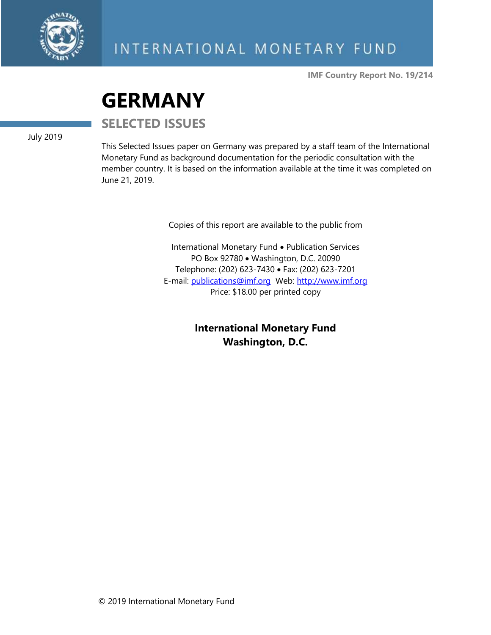

**IMF Country Report No. 19/214**

# **GERMANY**

**SELECTED ISSUES**

July 2019

This Selected Issues paper on Germany was prepared by a staff team of the International Monetary Fund as background documentation for the periodic consultation with the member country. It is based on the information available at the time it was completed on June 21, 2019.

Copies of this report are available to the public from

International Monetary Fund • Publication Services PO Box 92780 • Washington, D.C. 20090 Telephone: (202) 623-7430 • Fax: (202) 623-7201 E-mail: [publications@imf.org](mailto:publications@imf.org) Web: [http://www.imf.org](http://www.imf.org/) Price: \$18.00 per printed copy

> **International Monetary Fund Washington, D.C.**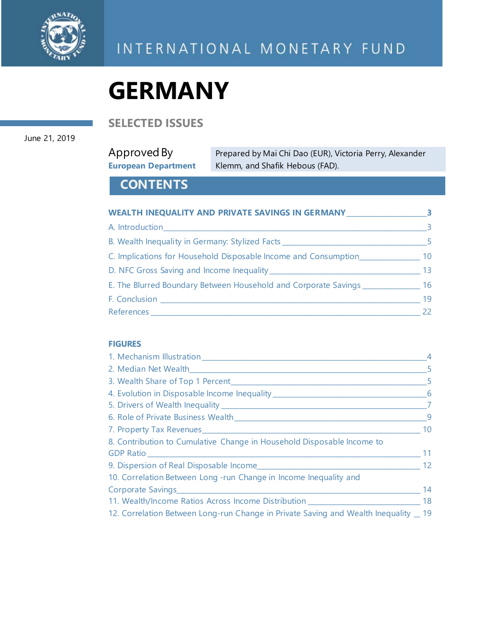

# **GERMANY**

**SELECTED ISSUES**

#### June 21, 2019

# Approved By **European Department**

Prepared by Mai Chi Dao (EUR), Victoria Perry, Alexander Klemm, and Shafik Hebous (FAD).

# **CONTENTS**

| WEALTH INEQUALITY AND PRIVATE SAVINGS IN GERMANY                                 | -3-                     |
|----------------------------------------------------------------------------------|-------------------------|
| A. Introduction <b>A. Introduction</b>                                           | $\overline{\mathbf{3}}$ |
| B. Wealth Inequality in Germany: Stylized Facts ________________________________ | -5.                     |
| C. Implications for Household Disposable Income and Consumption                  | 10 <sup>°</sup>         |
|                                                                                  | 13 <sup>°</sup>         |
| E. The Blurred Boundary Between Household and Corporate Savings                  | 16                      |
| F. Conclusion                                                                    | 19                      |
|                                                                                  | 22                      |

#### **FIGURES**

| 1. Mechanism Illustration                                                                                      | $\overline{4}$ |
|----------------------------------------------------------------------------------------------------------------|----------------|
|                                                                                                                | $-5$           |
|                                                                                                                | - 5            |
|                                                                                                                | - 6            |
|                                                                                                                | $\overline{7}$ |
|                                                                                                                | - 9            |
| 7. Property Tax Revenues Manuel Allen Manuel Manuel Manuel Manuel Manuel Manuel Manuel Manuel Manuel Manuel Ma | 10             |
| 8. Contribution to Cumulative Change in Household Disposable Income to                                         |                |
|                                                                                                                | 11             |
| 9. Dispersion of Real Disposable Income                                                                        | 12             |
| 10. Correlation Between Long -run Change in Income Inequality and                                              |                |
|                                                                                                                | 14             |
| 11. Wealth/Income Ratios Across Income Distribution _____________________________ 18                           |                |
| 12. Correlation Between Long-run Change in Private Saving and Wealth Inequality 19                             |                |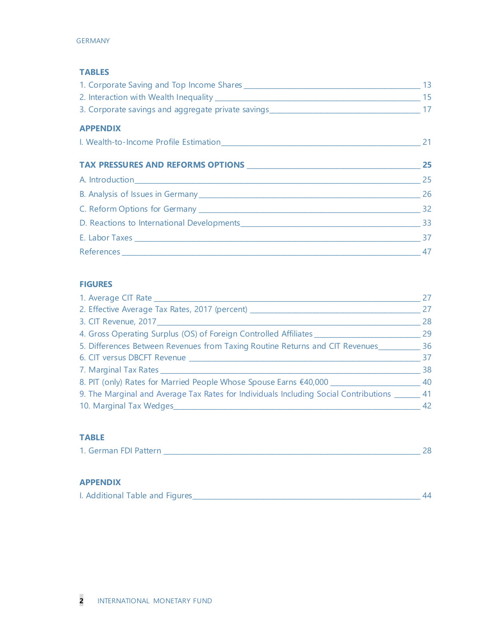#### **TABLES**

| <b>APPENDIX</b> |                 |
|-----------------|-----------------|
|                 |                 |
|                 | 25              |
|                 |                 |
|                 | $\overline{26}$ |
|                 |                 |
|                 |                 |
|                 |                 |
|                 | 47              |

#### **FIGURES**

|                                                                                                | 27 |
|------------------------------------------------------------------------------------------------|----|
| 2. Effective Average Tax Rates, 2017 (percent)                                                 | 27 |
|                                                                                                | 28 |
| 4. Gross Operating Surplus (OS) of Foreign Controlled Affiliates                               | 29 |
| 5. Differences Between Revenues from Taxing Routine Returns and CIT Revenues                   | 36 |
|                                                                                                | 37 |
| 7. Marginal Tax Rates                                                                          | 38 |
| 8. PIT (only) Rates for Married People Whose Spouse Earns €40,000 ______________               | 40 |
| 9. The Marginal and Average Tax Rates for Individuals Including Social Contributions ______ 41 |    |
| 10. Marginal Tax Wedges                                                                        | 42 |

# **TABLE**

| 1. German FDI Pattern |  |  |
|-----------------------|--|--|
|                       |  |  |

#### **APPENDIX**

| I. Additional Table and Figures |  |
|---------------------------------|--|
|---------------------------------|--|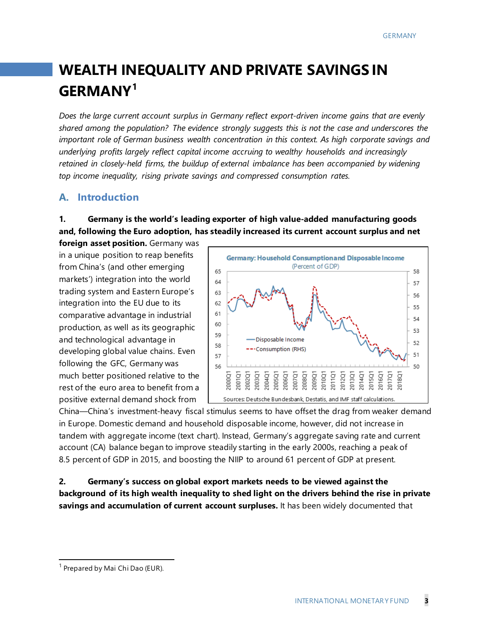# **WEALTH INEQUALITY AND PRIVATE SAVINGS IN GERMANY[1](#page-3-0)**

*Does the large current account surplus in Germany reflect export-driven income gains that are evenly shared among the population? The evidence strongly suggests this is not the case and underscores the important role of German business wealth concentration in this context. As high corporate savings and underlying profits largely reflect capital income accruing to wealthy households and increasingly retained in closely-held firms, the buildup of external imbalance has been accompanied by widening top income inequality, rising private savings and compressed consumption rates.* 

# **A. Introduction**

**1. Germany is the world's leading exporter of high value-added manufacturing goods and, following the Euro adoption, has steadily increased its current account surplus and net**

**foreign asset position.** Germany was in a unique position to reap benefits from China's (and other emerging markets') integration into the world trading system and Eastern Europe's integration into the EU due to its comparative advantage in industrial production, as well as its geographic and technological advantage in developing global value chains. Even following the GFC, Germany was much better positioned relative to the rest of the euro area to benefit from a positive external demand shock from



China—China's investment-heavy fiscal stimulus seems to have offset the drag from weaker demand in Europe. Domestic demand and household disposable income, however, did not increase in tandem with aggregate income (text chart). Instead, Germany's aggregate saving rate and current account (CA) balance began to improve steadily starting in the early 2000s, reaching a peak of 8.5 percent of GDP in 2015, and boosting the NIIP to around 61 percent of GDP at present.

**2. Germany's success on global export markets needs to be viewed against the background of its high wealth inequality to shed light on the drivers behind the rise in private savings and accumulation of current account surpluses.** It has been widely documented that

<span id="page-3-0"></span> $<sup>1</sup>$  Prepared by Mai Chi Dao (EUR).</sup>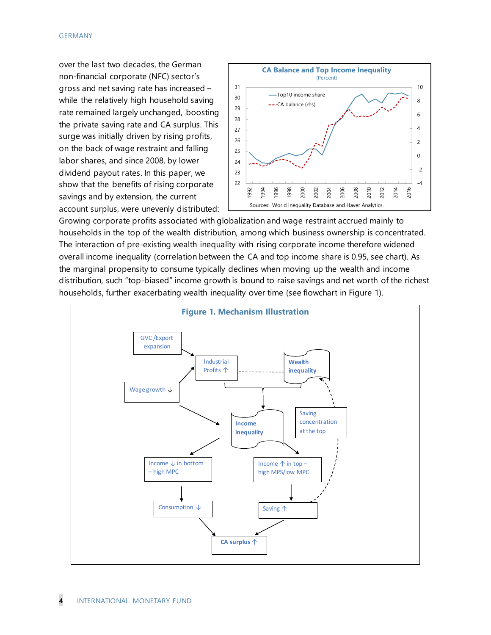#### GERMANY

over the last two decades, the German non-financial corporate (NFC) sector's gross and net saving rate has increased – while the relatively high household saving rate remained largely unchanged, boosting the private saving rate and CA surplus. This surge was initially driven by rising profits, on the back of wage restraint and falling labor shares, and since 2008, by lower dividend payout rates. In this paper, we show that the benefits of rising corporate savings and by extension, the current account surplus, were unevenly distributed:



Growing corporate profits associated with globalization and wage restraint accrued mainly to households in the top of the wealth distribution, among which business ownership is concentrated. The interaction of pre-existing wealth inequality with rising corporate income therefore widened overall income inequality (correlation between the CA and top income share is 0.95, see chart). As the marginal propensity to consume typically declines when moving up the wealth and income distribution, such "top-biased" income growth is bound to raise savings and net worth of the richest households, further exacerbating wealth inequality over time (see flowchart in Figure 1).

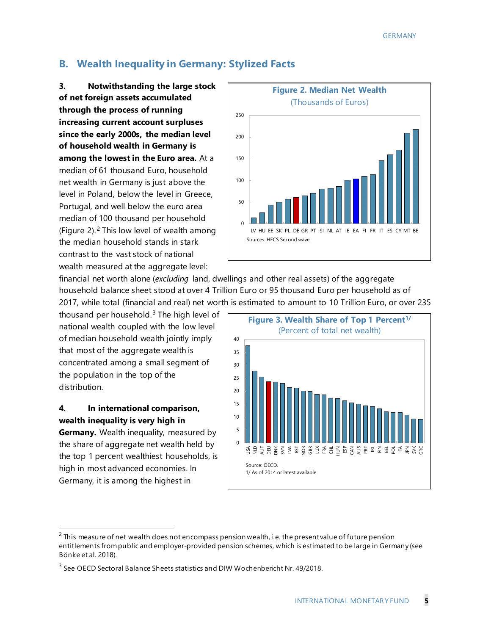# **B. Wealth Inequality in Germany: Stylized Facts**

**3. Notwithstanding the large stock of net foreign assets accumulated through the process of running increasing current account surpluses since the early 2000s, the median level of household wealth in Germany is among the lowest in the Euro area.** At a median of 61 thousand Euro, household net wealth in Germany is just above the level in Poland, below the level in Greece, Portugal, and well below the euro area median of 100 thousand per household (Figure [2](#page-5-0)). $<sup>2</sup>$  This low level of wealth among</sup> the median household stands in stark contrast to the vast stock of national wealth measured at the aggregate level:



financial net worth alone (*excluding* land, dwellings and other real assets) of the aggregate household balance sheet stood at over 4 Trillion Euro or 95 thousand Euro per household as of 2017, while total (financial and real) net worth is estimated to amount to 10 Trillion Euro, or over 235

thousand per household.<sup>[3](#page-5-1)</sup> The high level of national wealth coupled with the low level of median household wealth jointly imply that most of the aggregate wealth is concentrated among a small segment of the population in the top of the distribution.

# **4. In international comparison, wealth inequality is very high in**

**Germany.** Wealth inequality, measured by the share of aggregate net wealth held by the top 1 percent wealthiest households, is high in most advanced economies. In Germany, it is among the highest in



<span id="page-5-0"></span> $2$  This measure of net wealth does not encompass pension wealth, i.e. the present value of future pension entitlements from public and employer-provided pension schemes, which is estimated to be large in Germany (see Bönke et al. 2018).

<span id="page-5-1"></span><sup>&</sup>lt;sup>3</sup> See OECD Sectoral Balance Sheets statistics and DIW Wochenbericht Nr. 49/2018.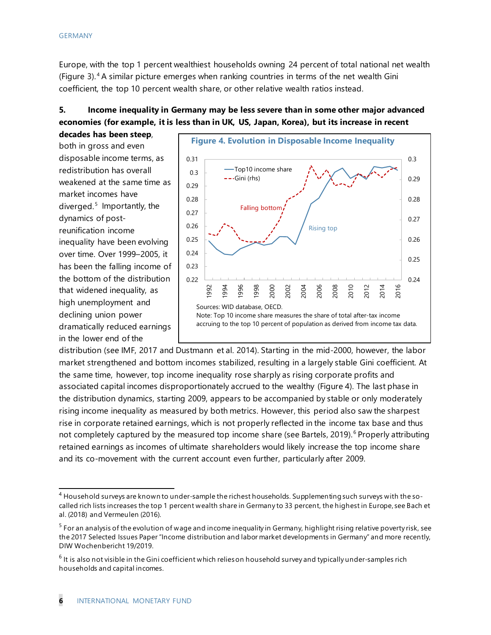Europe, with the top 1 percent wealthiest households owning 24 percent of total national net wealth (Figure 3). [4](#page--1-0) A similar picture emerges when ranking countries in terms of the net wealth Gini coefficient, the top 10 percent wealth share, or other relative wealth ratios instead.

# **5. Income inequality in Germany may be less severe than in some other major advanced economies (for example, it is less than in UK, US, Japan, Korea), but its increase in recent**

**decades has been steep**, both in gross and even disposable income terms, as redistribution has overall weakened at the same time as market incomes have diverged. $<sup>5</sup>$  $<sup>5</sup>$  $<sup>5</sup>$  Importantly, the</sup> dynamics of postreunification income inequality have been evolving over time. Over 1999–2005, it has been the falling income of the bottom of the distribution that widened inequality, as high unemployment and declining union power dramatically reduced earnings in the lower end of the



distribution (see IMF, 2017 and Dustmann et al. 2014). Starting in the mid-2000, however, the labor market strengthened and bottom incomes stabilized, resulting in a largely stable Gini coefficient. At the same time, however, top income inequality rose sharply as rising corporate profits and associated capital incomes disproportionately accrued to the wealthy (Figure 4). The last phase in the distribution dynamics, starting 2009, appears to be accompanied by stable or only moderately rising income inequality as measured by both metrics. However, this period also saw the sharpest rise in corporate retained earnings, which is not properly reflected in the income tax base and thus not completely captured by the measured top income share (see Bartels, 2019).<sup>[6](#page--1-2)</sup> Properly attributing retained earnings as incomes of ultimate shareholders would likely increase the top income share and its co-movement with the current account even further, particularly after 2009.

<sup>&</sup>lt;sup>4</sup> Household surveys are known to under-sample the richest households. Supplementing such surveys with the socalled rich lists increases the top 1 percent wealth share in Germany to 33 percent, the highest in Europe, see Bach et al. (2018) and Vermeulen (2016).

 $5$  For an analysis of the evolution of wage and income inequality in Germany, highlight rising relative poverty risk, see the 2017 Selected Issues Paper "Income distribution and labor market developments in Germany" and more recently, DIW Wochenbericht 19/2019.

 $^6$  It is also not visible in the Gini coefficient which relies on household survey and typically under-samples rich households and capital incomes.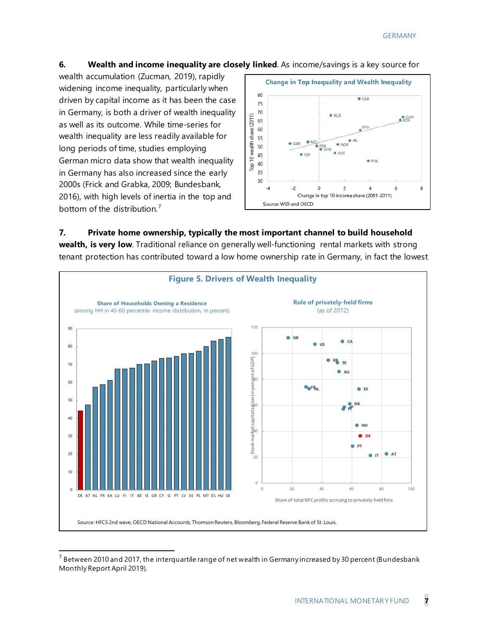#### **6. Wealth and income inequality are closely linked**. As income/savings is a key source for

wealth accumulation (Zucman, 2019), rapidly widening income inequality, particularly when driven by capital income as it has been the case in Germany, is both a driver of wealth inequality as well as its outcome. While time-series for wealth inequality are less readily available for long periods of time, studies employing German micro data show that wealth inequality in Germany has also increased since the early 2000s (Frick and Grabka, 2009; Bundesbank, 2016), with high levels of inertia in the top and bottom of the distribution. [7](#page-7-0)



#### **7. Private home ownership, typically the most important channel to build household**

**wealth, is very low**. Traditional reliance on generally well-functioning rental markets with strong tenant protection has contributed toward a low home ownership rate in Germany, in fact the lowest



<span id="page-7-0"></span> $^7$  Between 2010 and 2017, the interquartile range of net wealth in Germany increased by 30 percent (Bundesbank Monthly Report April 2019).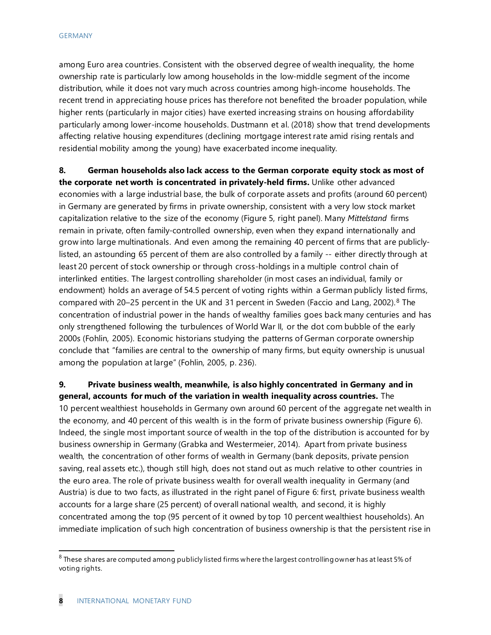among Euro area countries. Consistent with the observed degree of wealth inequality, the home ownership rate is particularly low among households in the low-middle segment of the income distribution, while it does not vary much across countries among high-income households. The recent trend in appreciating house prices has therefore not benefited the broader population, while higher rents (particularly in major cities) have exerted increasing strains on housing affordability particularly among lower-income households. Dustmann et al. (2018) show that trend developments affecting relative housing expenditures (declining mortgage interest rate amid rising rentals and residential mobility among the young) have exacerbated income inequality.

**8. German households also lack access to the German corporate equity stock as most of the corporate net worth is concentrated in privately-held firms.** Unlike other advanced economies with a large industrial base, the bulk of corporate assets and profits (around 60 percent) in Germany are generated by firms in private ownership, consistent with a very low stock market capitalization relative to the size of the economy (Figure 5, right panel). Many *Mittelstand* firms remain in private, often family-controlled ownership, even when they expand internationally and grow into large multinationals. And even among the remaining 40 percent of firms that are publiclylisted, an astounding 65 percent of them are also controlled by a family -- either directly through at least 20 percent of stock ownership or through cross-holdings in a multiple control chain of interlinked entities. The largest controlling shareholder (in most cases an individual, family or endowment) holds an average of 54.5 percent of voting rights within a German publicly listed firms, compared with 20–25 percent in the UK and 31 percent in Sweden (Faccio and Lang, 2002). $8$  The concentration of industrial power in the hands of wealthy families goes back many centuries and has only strengthened following the turbulences of World War II, or the dot com bubble of the early 2000s (Fohlin, 2005). Economic historians studying the patterns of German corporate ownership conclude that "families are central to the ownership of many firms, but equity ownership is unusual among the population at large" (Fohlin, 2005, p. 236).

#### **9. Private business wealth, meanwhile, is also highly concentrated in Germany and in general, accounts for much of the variation in wealth inequality across countries.** The

10 percent wealthiest households in Germany own around 60 percent of the aggregate net wealth in the economy, and 40 percent of this wealth is in the form of private business ownership (Figure 6). Indeed, the single most important source of wealth in the top of the distribution is accounted for by business ownership in Germany (Grabka and Westermeier, 2014). Apart from private business wealth, the concentration of other forms of wealth in Germany (bank deposits, private pension saving, real assets etc.), though still high, does not stand out as much relative to other countries in the euro area. The role of private business wealth for overall wealth inequality in Germany (and Austria) is due to two facts, as illustrated in the right panel of Figure 6: first, private business wealth accounts for a large share (25 percent) of overall national wealth, and second, it is highly concentrated among the top (95 percent of it owned by top 10 percent wealthiest households). An immediate implication of such high concentration of business ownership is that the persistent rise in

<span id="page-8-0"></span> $8$  These shares are computed among publicly listed firms where the largest controlling owner has at least 5% of voting rights.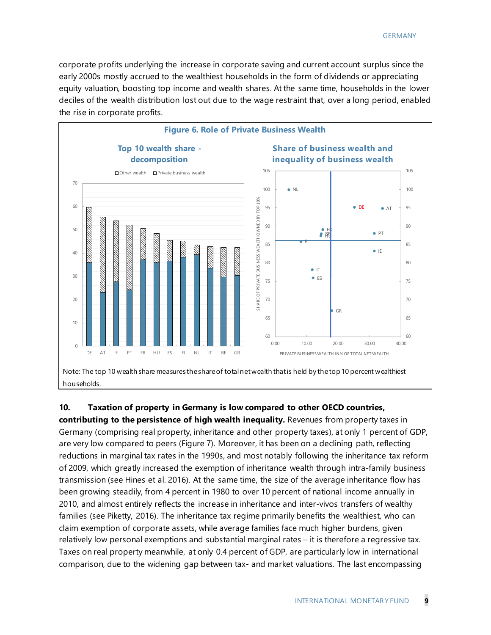corporate profits underlying the increase in corporate saving and current account surplus since the early 2000s mostly accrued to the wealthiest households in the form of dividends or appreciating equity valuation, boosting top income and wealth shares. At the same time, households in the lower deciles of the wealth distribution lost out due to the wage restraint that, over a long period, enabled the rise in corporate profits.



#### **10. Taxation of property in Germany is low compared to other OECD countries,**

**contributing to the persistence of high wealth inequality.** Revenues from property taxes in Germany (comprising real property, inheritance and other property taxes), at only 1 percent of GDP, are very low compared to peers (Figure 7). Moreover, it has been on a declining path, reflecting reductions in marginal tax rates in the 1990s, and most notably following the inheritance tax reform of 2009, which greatly increased the exemption of inheritance wealth through intra-family business transmission (see Hines et al. 2016). At the same time, the size of the average inheritance flow has been growing steadily, from 4 percent in 1980 to over 10 percent of national income annually in 2010, and almost entirely reflects the increase in inheritance and inter-vivos transfers of wealthy families (see Piketty, 2016). The inheritance tax regime primarily benefits the wealthiest, who can claim exemption of corporate assets, while average families face much higher burdens, given relatively low personal exemptions and substantial marginal rates – it is therefore a regressive tax. Taxes on real property meanwhile, at only 0.4 percent of GDP, are particularly low in international comparison, due to the widening gap between tax- and market valuations. The last encompassing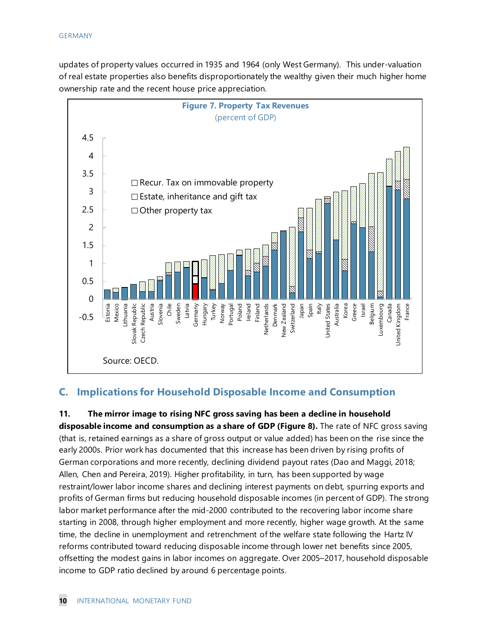updates of property values occurred in 1935 and 1964 (only West Germany). This under-valuation of real estate properties also benefits disproportionately the wealthy given their much higher home ownership rate and the recent house price appreciation.



# **C. Implications for Household Disposable Income and Consumption**

**11. The mirror image to rising NFC gross saving has been a decline in household disposable income and consumption as a share of GDP (Figure 8).** The rate of NFC gross saving (that is, retained earnings as a share of gross output or value added) has been on the rise since the early 2000s. Prior work has documented that this increase has been driven by rising profits of German corporations and more recently, declining dividend payout rates (Dao and Maggi, 2018; Allen, Chen and Pereira, 2019). Higher profitability, in turn, has been supported by wage restraint/lower labor income shares and declining interest payments on debt, spurring exports and profits of German firms but reducing household disposable incomes (in percent of GDP). The strong labor market performance after the mid-2000 contributed to the recovering labor income share starting in 2008, through higher employment and more recently, higher wage growth. At the same time, the decline in unemployment and retrenchment of the welfare state following the Hartz IV reforms contributed toward reducing disposable income through lower net benefits since 2005, offsetting the modest gains in labor incomes on aggregate. Over 2005–2017, household disposable income to GDP ratio declined by around 6 percentage points.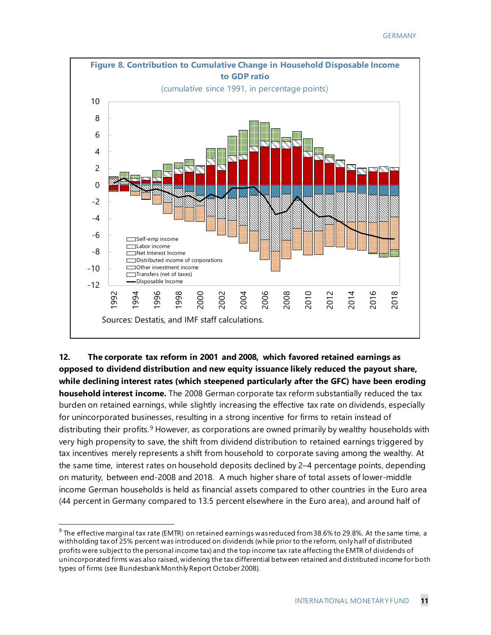

**12. The corporate tax reform in 2001 and 2008, which favored retained earnings as opposed to dividend distribution and new equity issuance likely reduced the payout share, while declining interest rates (which steepened particularly after the GFC) have been eroding household interest income.** The 2008 German corporate tax reform substantially reduced the tax burden on retained earnings, while slightly increasing the effective tax rate on dividends, especially for unincorporated businesses, resulting in a strong incentive for firms to retain instead of distributing their profits.<sup>[9](#page-11-0)</sup> However, as corporations are owned primarily by wealthy households with very high propensity to save, the shift from dividend distribution to retained earnings triggered by tax incentives merely represents a shift from household to corporate saving among the wealthy. At the same time, interest rates on household deposits declined by 2–4 percentage points, depending on maturity, between end-2008 and 2018. A much higher share of total assets of lower-middle income German households is held as financial assets compared to other countries in the Euro area (44 percent in Germany compared to 13.5 percent elsewhere in the Euro area), and around half of

<span id="page-11-0"></span> $^9$  The effective marginal tax rate (EMTR) on retained earnings was reduced from 38.6% to 29.8%. At the same time, a withholding tax of 25% percent was introduced on dividends (while prior to the reform, only half of distributed profits were subject to the personal income tax) and the top income tax rate affecting the EMTR of dividends of unincorporated firms was also raised, widening the tax differential between retained and distributed income for both types of firms (see Bundesbank Monthly Report October 2008).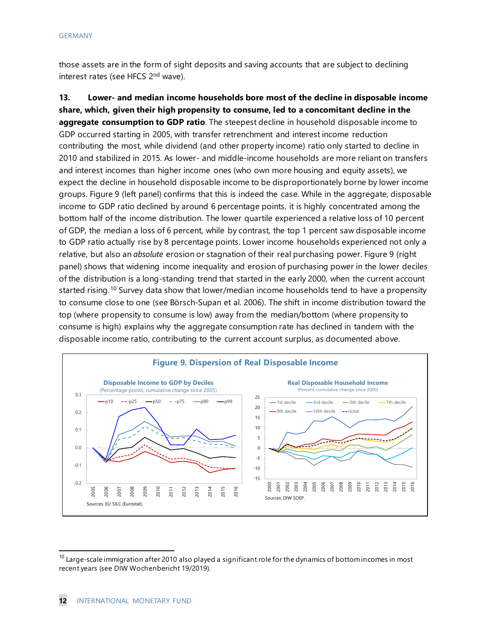those assets are in the form of sight deposits and saving accounts that are subject to declining interest rates (see HFCS 2nd wave).

**13. Lower- and median income households bore most of the decline in disposable income share, which, given their high propensity to consume, led to a concomitant decline in the aggregate consumption to GDP ratio**. The steepest decline in household disposable income to GDP occurred starting in 2005, with transfer retrenchment and interest income reduction contributing the most, while dividend (and other property income) ratio only started to decline in 2010 and stabilized in 2015. As lower- and middle-income households are more reliant on transfers and interest incomes than higher income ones (who own more housing and equity assets), we expect the decline in household disposable income to be disproportionately borne by lower income groups. Figure 9 (left panel) confirms that this is indeed the case. While in the aggregate, disposable income to GDP ratio declined by around 6 percentage points, it is highly concentrated among the bottom half of the income distribution. The lower quartile experienced a relative loss of 10 percent of GDP, the median a loss of 6 percent, while by contrast, the top 1 percent saw disposable income to GDP ratio actually rise by 8 percentage points. Lower income households experienced not only a relative, but also an *absolute* erosion or stagnation of their real purchasing power. Figure 9 (right panel) shows that widening income inequality and erosion of purchasing power in the lower deciles of the distribution is a long-standing trend that started in the early 2000, when the current account started rising.<sup>[10](#page-12-0)</sup> Survey data show that lower/median income households tend to have a propensity to consume close to one (see Börsch-Supan et al. 2006). The shift in income distribution toward the top (where propensity to consume is low) away from the median/bottom (where propensity to consume is high) explains why the aggregate consumption rate has declined in tandem with the disposable income ratio, contributing to the current account surplus, as documented above.



<span id="page-12-0"></span> $10$  Large-scale immigration after 2010 also played a significant role for the dynamics of bottom incomes in most recent years (see DIW Wochenbericht 19/2019).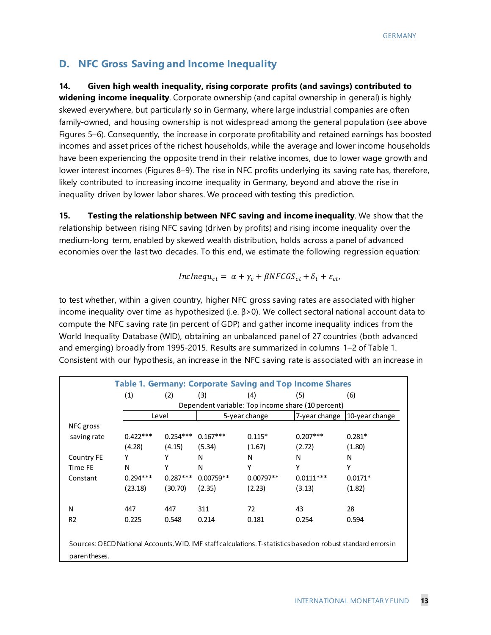# **D. NFC Gross Saving and Income Inequality**

**14. Given high wealth inequality, rising corporate profits (and savings) contributed to**

**widening income inequality**. Corporate ownership (and capital ownership in general) is highly skewed everywhere, but particularly so in Germany, where large industrial companies are often family-owned, and housing ownership is not widespread among the general population (see above Figures 5–6). Consequently, the increase in corporate profitability and retained earnings has boosted incomes and asset prices of the richest households, while the average and lower income households have been experiencing the opposite trend in their relative incomes, due to lower wage growth and lower interest incomes (Figures 8–9). The rise in NFC profits underlying its saving rate has, therefore, likely contributed to increasing income inequality in Germany, beyond and above the rise in inequality driven by lower labor shares. We proceed with testing this prediction.

**15. Testing the relationship between NFC saving and income inequality**. We show that the relationship between rising NFC saving (driven by profits) and rising income inequality over the medium-long term, enabled by skewed wealth distribution, holds across a panel of advanced economies over the last two decades. To this end, we estimate the following regression equation:

$$
IncInequ_{ct} = \alpha + \gamma_c + \beta NFCGS_{ct} + \delta_t + \varepsilon_{ct},
$$

to test whether, within a given country, higher NFC gross saving rates are associated with higher income inequality over time as hypothesized (i.e.  $\beta$ >0). We collect sectoral national account data to compute the NFC saving rate (in percent of GDP) and gather income inequality indices from the World Inequality Database (WID), obtaining an unbalanced panel of 27 countries (both advanced and emerging) broadly from 1995-2015. Results are summarized in columns 1–2 of Table 1. Consistent with our hypothesis, an increase in the NFC saving rate is associated with an increase in

|                   |            |            |             |               | <b>Table 1. Germany: Corporate Saving and Top Income Shares</b> |                                                                                                               |
|-------------------|------------|------------|-------------|---------------|-----------------------------------------------------------------|---------------------------------------------------------------------------------------------------------------|
|                   | (1)        | (2)        | (3)         | (4)           | (5)                                                             | (6)                                                                                                           |
|                   |            |            |             |               | Dependent variable: Top income share (10 percent)               |                                                                                                               |
|                   |            | Level      |             | 5-year change | 7-year change                                                   | 10-year change                                                                                                |
| NFC gross         |            |            |             |               |                                                                 |                                                                                                               |
| saving rate       | $0.422***$ | $0.254***$ | $0.167***$  | $0.115*$      | $0.207***$                                                      | $0.281*$                                                                                                      |
|                   | (4.28)     | (4.15)     | (5.34)      | (1.67)        | (2.72)                                                          | (1.80)                                                                                                        |
| <b>Country FE</b> | Υ          | Υ          | N           | N             | N                                                               | N                                                                                                             |
| Time FE           | N          | γ          | N           | Υ             | Υ                                                               | Υ                                                                                                             |
| Constant          | $0.294***$ | $0.287***$ | $0.00759**$ | $0.00797**$   | $0.0111***$                                                     | $0.0171*$                                                                                                     |
|                   | (23.18)    | (30.70)    | (2.35)      | (2.23)        | (3.13)                                                          | (1.82)                                                                                                        |
|                   |            |            |             |               |                                                                 |                                                                                                               |
| N                 | 447        | 447        | 311         | 72            | 43                                                              | 28                                                                                                            |
| R <sub>2</sub>    | 0.225      | 0.548      | 0.214       | 0.181         | 0.254                                                           | 0.594                                                                                                         |
|                   |            |            |             |               |                                                                 |                                                                                                               |
|                   |            |            |             |               |                                                                 | Sources: OECD National Accounts, WID, IMF staff calculations. T-statistics based on robust standard errors in |
| parentheses.      |            |            |             |               |                                                                 |                                                                                                               |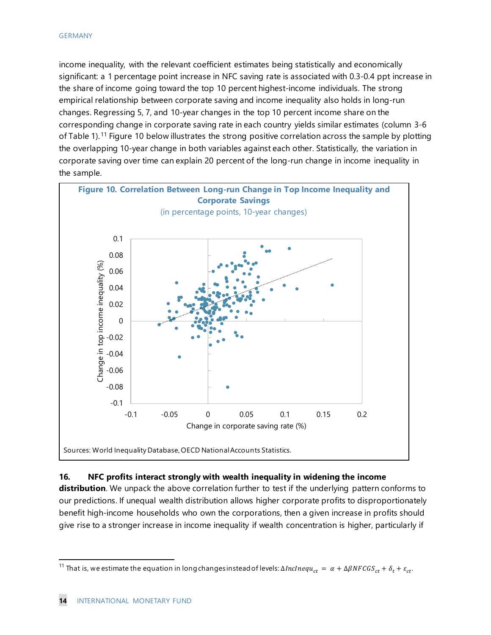#### GERMANY

income inequality, with the relevant coefficient estimates being statistically and economically significant: a 1 percentage point increase in NFC saving rate is associated with 0.3-0.4 ppt increase in the share of income going toward the top 10 percent highest-income individuals. The strong empirical relationship between corporate saving and income inequality also holds in long-run changes. Regressing 5, 7, and 10-year changes in the top 10 percent income share on the corresponding change in corporate saving rate in each country yields similar estimates (column 3-6 of Table 1).<sup>[11](#page-14-0)</sup> Figure 10 below illustrates the strong positive correlation across the sample by plotting the overlapping 10-year change in both variables against each other. Statistically, the variation in corporate saving over time can explain 20 percent of the long-run change in income inequality in the sample.



#### **16. NFC profits interact strongly with wealth inequality in widening the income**

**distribution**. We unpack the above correlation further to test if the underlying pattern conforms to our predictions. If unequal wealth distribution allows higher corporate profits to disproportionately benefit high-income households who own the corporations, then a given increase in profits should give rise to a stronger increase in income inequality if wealth concentration is higher, particularly if

<span id="page-14-0"></span><sup>&</sup>lt;sup>11</sup> That is, we estimate the equation in long changes instead of levels:  $ΔInclnequ_{ct} = α + ΔβNFCGS_{ct} + δ_t + ε_{ct}$ .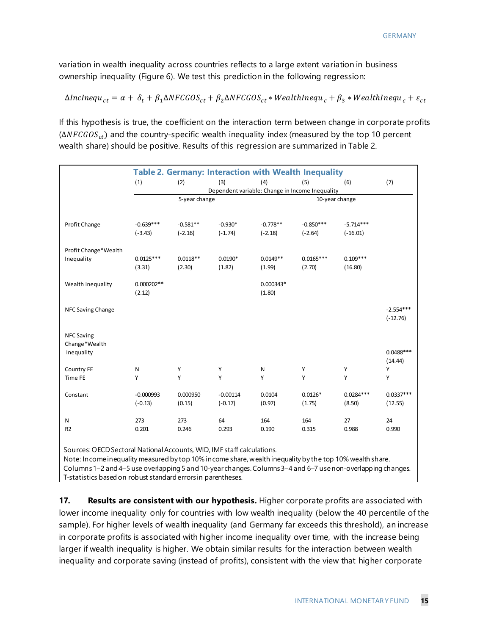variation in wealth inequality across countries reflects to a large extent variation in business ownership inequality (Figure 6). We test this prediction in the following regression:

$$
\Delta Inclnequ_{ct}=\alpha+\delta_t+\beta_1\Delta NFCGOS_{ct}+\beta_2\Delta NFCGOS_{ct}*WealthInequ_c+\beta_3*WealthInequ_c+\varepsilon_{ct}
$$

If this hypothesis is true, the coefficient on the interaction term between change in corporate profits  $(\Delta NFGGS_{ct})$  and the country-specific wealth inequality index (measured by the top 10 percent wealth share) should be positive. Results of this regression are summarized in Table 2.

|                                                                                                             |              |               | <b>Table 2. Germany: Interaction with Wealth Inequality</b> |            |                |             |             |
|-------------------------------------------------------------------------------------------------------------|--------------|---------------|-------------------------------------------------------------|------------|----------------|-------------|-------------|
|                                                                                                             | (1)          | (2)           | (3)                                                         | (4)        | (5)            | (6)         | (7)         |
|                                                                                                             |              |               | Dependent variable: Change in Income Inequality             |            |                |             |             |
|                                                                                                             |              | 5-year change |                                                             |            | 10-year change |             |             |
|                                                                                                             |              |               |                                                             |            |                |             |             |
| Profit Change                                                                                               | $-0.639***$  | $-0.581**$    | $-0.930*$                                                   | $-0.778**$ | $-0.850***$    | $-5.714***$ |             |
|                                                                                                             | $(-3.43)$    | $(-2.16)$     | $(-1.74)$                                                   | $(-2.18)$  | $(-2.64)$      | $(-16.01)$  |             |
|                                                                                                             |              |               |                                                             |            |                |             |             |
| Profit Change*Wealth                                                                                        |              |               |                                                             |            |                |             |             |
| Inequality                                                                                                  | $0.0125***$  | $0.0118**$    | $0.0190*$                                                   | $0.0149**$ | $0.0165***$    | $0.109***$  |             |
|                                                                                                             | (3.31)       | (2.30)        | (1.82)                                                      | (1.99)     | (2.70)         | (16.80)     |             |
|                                                                                                             |              |               |                                                             |            |                |             |             |
| Wealth Inequality                                                                                           | $0.000202**$ |               |                                                             | 0.000343*  |                |             |             |
|                                                                                                             | (2.12)       |               |                                                             | (1.80)     |                |             |             |
| NFC Saving Change                                                                                           |              |               |                                                             |            |                |             | $-2.554***$ |
|                                                                                                             |              |               |                                                             |            |                |             | $(-12.76)$  |
|                                                                                                             |              |               |                                                             |            |                |             |             |
| <b>NFC Saving</b>                                                                                           |              |               |                                                             |            |                |             |             |
| Change*Wealth                                                                                               |              |               |                                                             |            |                |             |             |
| Inequality                                                                                                  |              |               |                                                             |            |                |             | $0.0488***$ |
|                                                                                                             |              |               |                                                             |            |                |             | (14.44)     |
| Country FE                                                                                                  | ${\sf N}$    | Υ             | Υ                                                           | N          | Y              | Υ           | Υ           |
| Time FE                                                                                                     | Υ            | Y             | Y                                                           | Υ          | Y              | Υ           | Υ           |
| Constant                                                                                                    | $-0.000993$  | 0.000950      | $-0.00114$                                                  | 0.0104     | $0.0126*$      | $0.0284***$ | $0.0337***$ |
|                                                                                                             | $(-0.13)$    | (0.15)        | $(-0.17)$                                                   | (0.97)     | (1.75)         | (8.50)      | (12.55)     |
|                                                                                                             |              |               |                                                             |            |                |             |             |
| N                                                                                                           | 273          | 273           | 64                                                          | 164        | 164            | 27          | 24          |
| R <sub>2</sub>                                                                                              | 0.201        | 0.246         | 0.293                                                       | 0.190      | 0.315          | 0.988       | 0.990       |
|                                                                                                             |              |               |                                                             |            |                |             |             |
| Sources: OECD Sectoral National Accounts, WID, IMF staff calculations.                                      |              |               |                                                             |            |                |             |             |
| Note: Income inequality measured by top 10% income share, wealth inequality by the top 10% wealth share.    |              |               |                                                             |            |                |             |             |
| Columns 1-2 and 4-5 use overlapping 5 and 10-year changes. Columns 3-4 and 6-7 use non-overlapping changes. |              |               |                                                             |            |                |             |             |
| T-statistics based on robust standard errors in parentheses.                                                |              |               |                                                             |            |                |             |             |
|                                                                                                             |              |               |                                                             |            |                |             |             |

**17. Results are consistent with our hypothesis.** Higher corporate profits are associated with lower income inequality only for countries with low wealth inequality (below the 40 percentile of the sample). For higher levels of wealth inequality (and Germany far exceeds this threshold), an increase in corporate profits is associated with higher income inequality over time, with the increase being larger if wealth inequality is higher. We obtain similar results for the interaction between wealth inequality and corporate saving (instead of profits), consistent with the view that higher corporate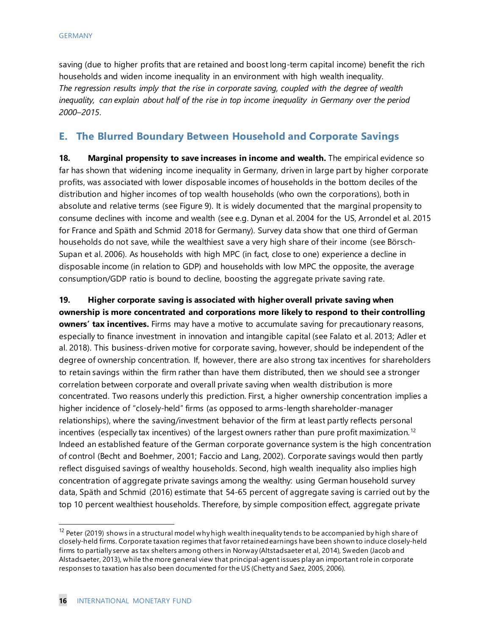saving (due to higher profits that are retained and boost long-term capital income) benefit the rich households and widen income inequality in an environment with high wealth inequality. *The regression results imply that the rise in corporate saving, coupled with the degree of wealth inequality, can explain about half of the rise in top income inequality in Germany over the period 2000*–*2015*.

# **E. The Blurred Boundary Between Household and Corporate Savings**

**18. Marginal propensity to save increases in income and wealth.** The empirical evidence so far has shown that widening income inequality in Germany, driven in large part by higher corporate profits, was associated with lower disposable incomes of households in the bottom deciles of the distribution and higher incomes of top wealth households (who own the corporations), both in absolute and relative terms (see Figure 9). It is widely documented that the marginal propensity to consume declines with income and wealth (see e.g. Dynan et al. 2004 for the US, Arrondel et al. 2015 for France and Späth and Schmid 2018 for Germany). Survey data show that one third of German households do not save, while the wealthiest save a very high share of their income (see Börsch-Supan et al. 2006). As households with high MPC (in fact, close to one) experience a decline in disposable income (in relation to GDP) and households with low MPC the opposite, the average consumption/GDP ratio is bound to decline, boosting the aggregate private saving rate.

**19. Higher corporate saving is associated with higher overall private saving when ownership is more concentrated and corporations more likely to respond to their controlling owners' tax incentives.** Firms may have a motive to accumulate saving for precautionary reasons, especially to finance investment in innovation and intangible capital (see Falato et al. 2013; Adler et al. 2018). This business-driven motive for corporate saving, however, should be independent of the degree of ownership concentration. If, however, there are also strong tax incentives for shareholders to retain savings within the firm rather than have them distributed, then we should see a stronger correlation between corporate and overall private saving when wealth distribution is more concentrated. Two reasons underly this prediction. First, a higher ownership concentration implies a higher incidence of "closely-held" firms (as opposed to arms-length shareholder-manager relationships), where the saving/investment behavior of the firm at least partly reflects personal incentives (especially tax incentives) of the largest owners rather than pure profit maximization.<sup>[12](#page-16-0)</sup> Indeed an established feature of the German corporate governance system is the high concentration of control (Becht and Boehmer, 2001; Faccio and Lang, 2002). Corporate savings would then partly reflect disguised savings of wealthy households. Second, high wealth inequality also implies high concentration of aggregate private savings among the wealthy: using German household survey data, Späth and Schmid (2016) estimate that 54-65 percent of aggregate saving is carried out by the top 10 percent wealthiest households. Therefore, by simple composition effect, aggregate private

<span id="page-16-0"></span><sup>&</sup>lt;sup>12</sup> Peter (2019) shows in a structural model why high wealth inequality tends to be accompanied by high share of closely-held firms. Corporate taxation regimes that favor retained earnings have been shown to induce closely-held firms to partially serve as tax shelters among others in Norway (Altstadsaeter et al, 2014), Sweden (Jacob and Alstadsaeter, 2013), while the more general view that principal-agent issues play an important role in corporate responses to taxation has also been documented for the US (Chetty and Saez, 2005, 2006).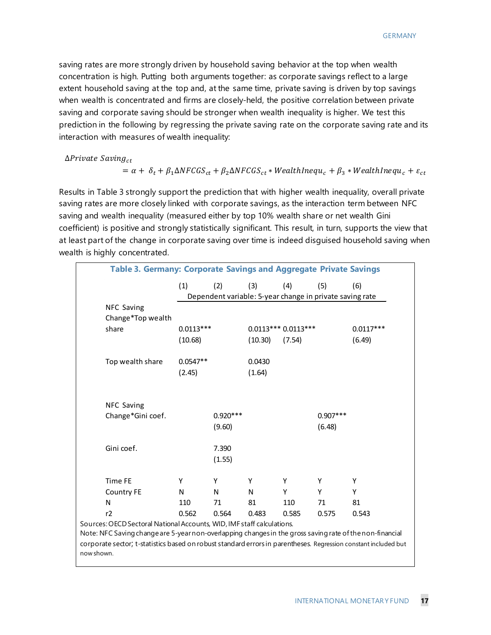saving rates are more strongly driven by household saving behavior at the top when wealth concentration is high. Putting both arguments together: as corporate savings reflect to a large extent household saving at the top and, at the same time, private saving is driven by top savings when wealth is concentrated and firms are closely-held, the positive correlation between private saving and corporate saving should be stronger when wealth inequality is higher. We test this prediction in the following by regressing the private saving rate on the corporate saving rate and its interaction with measures of wealth inequality:

 $\Delta$ Private Saving<sub>ct</sub>

now shown.

$$
= \alpha + \delta_t + \beta_1 \Delta NFGGS_{ct} + \beta_2 \Delta NFGGS_{ct} * WealthInequ_c + \beta_3 * WealthInequ_c + \varepsilon_{ct}
$$

Results in Table 3 strongly support the prediction that with higher wealth inequality, overall private saving rates are more closely linked with corporate savings, as the interaction term between NFC saving and wealth inequality (measured either by top 10% wealth share or net wealth Gini coefficient) is positive and strongly statistically significant. This result, in turn, supports the view that at least part of the change in corporate saving over time is indeed disguised household saving when wealth is highly concentrated.

| Table 3. Germany: Corporate Savings and Aggregate Private Savings                                               |             |            |         |                                                          |            |             |
|-----------------------------------------------------------------------------------------------------------------|-------------|------------|---------|----------------------------------------------------------|------------|-------------|
|                                                                                                                 | (1)         | (2)        | (3)     | (4)                                                      | (5)        | (6)         |
|                                                                                                                 |             |            |         | Dependent variable: 5-year change in private saving rate |            |             |
| NFC Saving                                                                                                      |             |            |         |                                                          |            |             |
| Change*Top wealth                                                                                               |             |            |         |                                                          |            |             |
| share                                                                                                           | $0.0113***$ |            |         | $0.0113***0.0113***$                                     |            | $0.0117***$ |
|                                                                                                                 | (10.68)     |            | (10.30) | (7.54)                                                   |            | (6.49)      |
| Top wealth share                                                                                                | $0.0547**$  |            | 0.0430  |                                                          |            |             |
|                                                                                                                 | (2.45)      |            | (1.64)  |                                                          |            |             |
|                                                                                                                 |             |            |         |                                                          |            |             |
| NFC Saving                                                                                                      |             |            |         |                                                          |            |             |
| Change*Gini coef.                                                                                               |             | $0.920***$ |         |                                                          | $0.907***$ |             |
|                                                                                                                 |             | (9.60)     |         |                                                          | (6.48)     |             |
|                                                                                                                 |             |            |         |                                                          |            |             |
| Gini coef.                                                                                                      |             | 7.390      |         |                                                          |            |             |
|                                                                                                                 |             | (1.55)     |         |                                                          |            |             |
| Time FE                                                                                                         | Υ           | Υ          | Y       | Y                                                        | Υ          | Υ           |
| <b>Country FE</b>                                                                                               | N           | N          | N       | Y                                                        | Y          | Y           |
| N                                                                                                               | 110         | 71         | 81      | 110                                                      | 71         | 81          |
| r2                                                                                                              | 0.562       | 0.564      | 0.483   | 0.585                                                    | 0.575      | 0.543       |
| Sources: OECD Sectoral National Accounts, WID, IMF staff calculations.                                          |             |            |         |                                                          |            |             |
| Note: NFC Saving change are 5-yearnon-overlapping changes in the gross saving rate of the non-financial         |             |            |         |                                                          |            |             |
| corporate sector; t-statistics based on robust standard errors in parentheses. Regression constant included but |             |            |         |                                                          |            |             |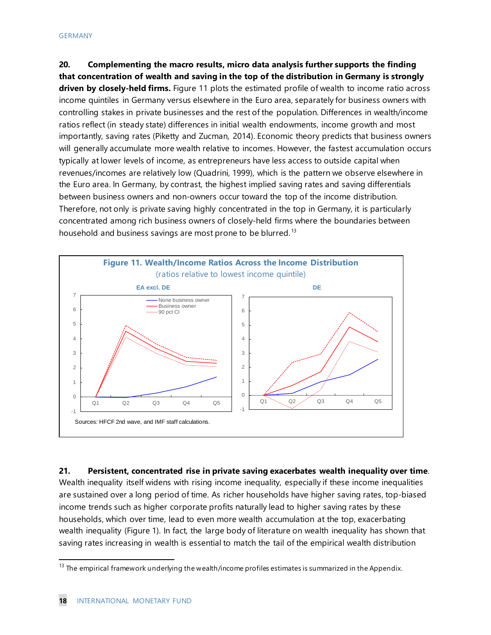**20. Complementing the macro results, micro data analysis further supports the finding that concentration of wealth and saving in the top of the distribution in Germany is strongly driven by closely-held firms.** Figure 11 plots the estimated profile of wealth to income ratio across income quintiles in Germany versus elsewhere in the Euro area, separately for business owners with controlling stakes in private businesses and the rest of the population. Differences in wealth/income ratios reflect (in steady state) differences in initial wealth endowments, income growth and most importantly, saving rates (Piketty and Zucman, 2014). Economic theory predicts that business owners will generally accumulate more wealth relative to incomes. However, the fastest accumulation occurs typically at lower levels of income, as entrepreneurs have less access to outside capital when revenues/incomes are relatively low (Quadrini, 1999), which is the pattern we observe elsewhere in the Euro area. In Germany, by contrast, the highest implied saving rates and saving differentials between business owners and non-owners occur toward the top of the income distribution. Therefore, not only is private saving highly concentrated in the top in Germany, it is particularly concentrated among rich business owners of closely-held firms where the boundaries between household and business savings are most prone to be blurred.<sup>[13](#page-18-0)</sup>



**21. Persistent, concentrated rise in private saving exacerbates wealth inequality over time**. Wealth inequality itself widens with rising income inequality, especially if these income inequalities are sustained over a long period of time. As richer households have higher saving rates, top-biased income trends such as higher corporate profits naturally lead to higher saving rates by these households, which over time, lead to even more wealth accumulation at the top, exacerbating wealth inequality (Figure 1). In fact, the large body of literature on wealth inequality has shown that saving rates increasing in wealth is essential to match the tail of the empirical wealth distribution

<span id="page-18-0"></span> $13$  The empirical framework underlying the wealth/income profiles estimates is summarized in the Appendix.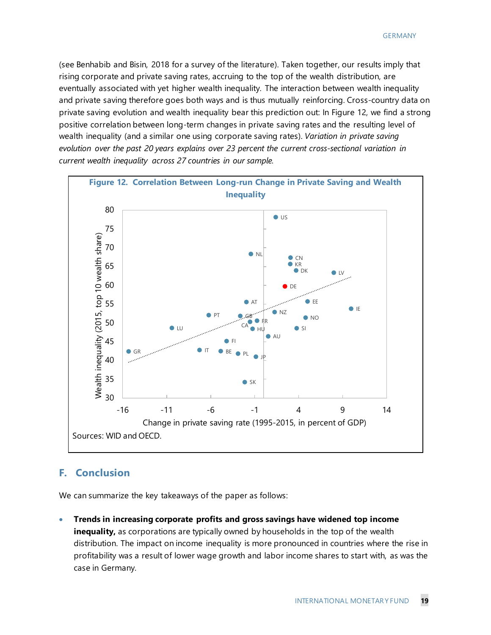(see Benhabib and Bisin, 2018 for a survey of the literature). Taken together, our results imply that rising corporate and private saving rates, accruing to the top of the wealth distribution, are eventually associated with yet higher wealth inequality. The interaction between wealth inequality and private saving therefore goes both ways and is thus mutually reinforcing. Cross-country data on private saving evolution and wealth inequality bear this prediction out: In Figure 12, we find a strong positive correlation between long-term changes in private saving rates and the resulting level of wealth inequality (and a similar one using corporate saving rates). *Variation in private saving evolution over the past 20 years explains over 23 percent the current cross-sectional variation in current wealth inequality across 27 countries in our sample.* 



#### **F. Conclusion**

We can summarize the key takeaways of the paper as follows:

• **Trends in increasing corporate profits and gross savings have widened top income inequality,** as corporations are typically owned by households in the top of the wealth distribution. The impact on income inequality is more pronounced in countries where the rise in profitability was a result of lower wage growth and labor income shares to start with, as was the case in Germany.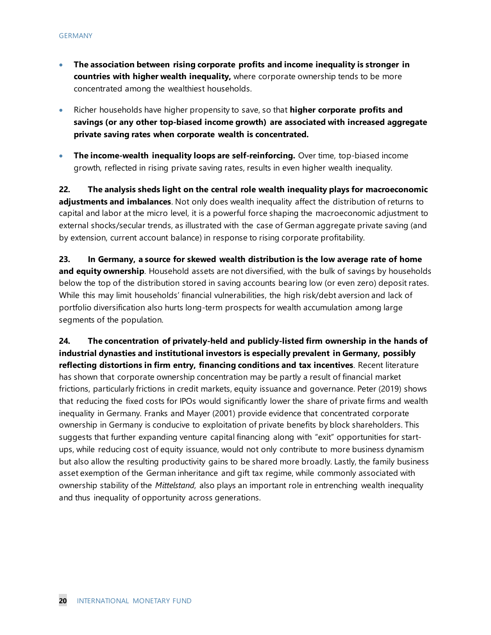- **The association between rising corporate profits and income inequality is stronger in countries with higher wealth inequality,** where corporate ownership tends to be more concentrated among the wealthiest households.
- Richer households have higher propensity to save, so that **higher corporate profits and savings (or any other top-biased income growth) are associated with increased aggregate private saving rates when corporate wealth is concentrated.**
- **The income-wealth inequality loops are self-reinforcing.** Over time, top-biased income growth, reflected in rising private saving rates, results in even higher wealth inequality.

**22. The analysis sheds light on the central role wealth inequality plays for macroeconomic adjustments and imbalances**. Not only does wealth inequality affect the distribution of returns to capital and labor at the micro level, it is a powerful force shaping the macroeconomic adjustment to external shocks/secular trends, as illustrated with the case of German aggregate private saving (and by extension, current account balance) in response to rising corporate profitability.

**23. In Germany, a source for skewed wealth distribution is the low average rate of home and equity ownership**. Household assets are not diversified, with the bulk of savings by households below the top of the distribution stored in saving accounts bearing low (or even zero) deposit rates. While this may limit households' financial vulnerabilities, the high risk/debt aversion and lack of portfolio diversification also hurts long-term prospects for wealth accumulation among large segments of the population.

**24. The concentration of privately-held and publicly-listed firm ownership in the hands of industrial dynasties and institutional investors is especially prevalent in Germany, possibly reflecting distortions in firm entry, financing conditions and tax incentives**. Recent literature has shown that corporate ownership concentration may be partly a result of financial market frictions, particularly frictions in credit markets, equity issuance and governance. Peter (2019) shows that reducing the fixed costs for IPOs would significantly lower the share of private firms and wealth inequality in Germany. Franks and Mayer (2001) provide evidence that concentrated corporate ownership in Germany is conducive to exploitation of private benefits by block shareholders. This suggests that further expanding venture capital financing along with "exit" opportunities for startups, while reducing cost of equity issuance, would not only contribute to more business dynamism but also allow the resulting productivity gains to be shared more broadly. Lastly, the family business asset exemption of the German inheritance and gift tax regime, while commonly associated with ownership stability of the *Mittelstand*, also plays an important role in entrenching wealth inequality and thus inequality of opportunity across generations.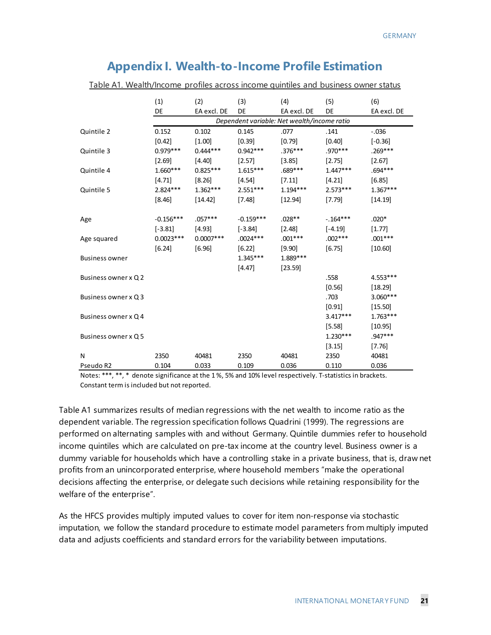# **Appendix I. Wealth-to-Income Profile Estimation**

|  | Table A1. Wealth/Income profiles across income quintiles and business owner status |
|--|------------------------------------------------------------------------------------|
|  |                                                                                    |

|                       | (1)         | (2)         | (3)         | (4)                                         | (5)        | (6)         |
|-----------------------|-------------|-------------|-------------|---------------------------------------------|------------|-------------|
|                       | DE          | EA excl. DE | <b>DE</b>   | EA excl. DE                                 | DE         | EA excl. DE |
|                       |             |             |             | Dependent variable: Net wealth/income ratio |            |             |
| Quintile 2            | 0.152       | 0.102       | 0.145       | .077                                        | .141       | $-.036$     |
|                       | $[0.42]$    | [1.00]      | [0.39]      | $[0.79]$                                    | [0.40]     | $[-0.36]$   |
| Quintile 3            | $0.979***$  | $0.444***$  | $0.942***$  | $.376***$                                   | .970***    | $.269***$   |
|                       | [2.69]      | [4.40]      | $[2.57]$    | $[3.85]$                                    | $[2.75]$   | [2.67]      |
| Quintile 4            | $1.660***$  | $0.825***$  | $1.615***$  | .689***                                     | $1.447***$ | .694***     |
|                       | [4.71]      | $[8.26]$    | [4.54]      | [7.11]                                      | [4.21]     | [6.85]      |
| Quintile 5            | $2.824***$  | $1.362***$  | $2.551***$  | $1.194***$                                  | $2.573***$ | $1.367***$  |
|                       | $[8.46]$    | [14.42]     | $[7.48]$    | [12.94]                                     | $[7.79]$   | [14.19]     |
|                       |             |             |             |                                             |            |             |
| Age                   | $-0.156***$ | $.057***$   | $-0.159***$ | $.028**$                                    | $-164***$  | $.020*$     |
|                       | $[-3.81]$   | $[4.93]$    | $[-3.84]$   | $[2.48]$                                    | $[-4.19]$  | [1.77]      |
| Age squared           | $0.0023***$ | $0.0007***$ | $.0024***$  | $.001***$                                   | $.002***$  | $.001***$   |
|                       | [6.24]      | $[6.96]$    | $[6.22]$    | $[9.90]$                                    | [6.75]     | [10.60]     |
| <b>Business owner</b> |             |             | $1.345***$  | 1.889 ***                                   |            |             |
|                       |             |             | [4.47]      | [23.59]                                     |            |             |
| Business owner x Q 2  |             |             |             |                                             | .558       | $4.553***$  |
|                       |             |             |             |                                             | [0.56]     | $[18.29]$   |
| Business owner x Q 3  |             |             |             |                                             | .703       | 3.060***    |
|                       |             |             |             |                                             | $[0.91]$   | [15.50]     |
| Business owner x Q 4  |             |             |             |                                             | $3.417***$ | $1.763***$  |
|                       |             |             |             |                                             | [5.58]     | [10.95]     |
| Business owner x Q 5  |             |             |             |                                             | $1.230***$ | $.947***$   |
|                       |             |             |             |                                             | $[3.15]$   | $[7.76]$    |
| N                     | 2350        | 40481       | 2350        | 40481                                       | 2350       | 40481       |
| Pseudo R2             | 0.104       | 0.033       | 0.109       | 0.036                                       | 0.110      | 0.036       |

Notes: \*\*\*, \*\*, \* denote significance at the 1 %, 5% and 10% level respectively. T-statistics in brackets. Constant term is included but not reported.

Table A1 summarizes results of median regressions with the net wealth to income ratio as the dependent variable. The regression specification follows Quadrini (1999). The regressions are performed on alternating samples with and without Germany. Quintile dummies refer to household income quintiles which are calculated on pre-tax income at the country level. Business owner is a dummy variable for households which have a controlling stake in a private business, that is, draw net profits from an unincorporated enterprise, where household members "make the operational decisions affecting the enterprise, or delegate such decisions while retaining responsibility for the welfare of the enterprise".

As the HFCS provides multiply imputed values to cover for item non-response via stochastic imputation, we follow the standard procedure to estimate model parameters from multiply imputed data and adjusts coefficients and standard errors for the variability between imputations.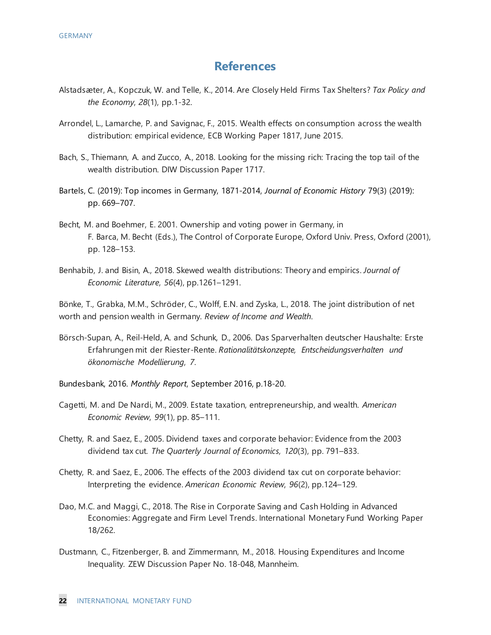# **References**

- Alstadsæter, A., Kopczuk, W. and Telle, K., 2014. Are Closely Held Firms Tax Shelters? *Tax Policy and the Economy*, *28*(1), pp.1-32.
- Arrondel, L., Lamarche, P. and Savignac, F., 2015. Wealth effects on consumption across the wealth distribution: empirical evidence, ECB Working Paper 1817, June 2015.
- Bach, S., Thiemann, A. and Zucco, A., 2018. Looking for the missing rich: Tracing the top tail of the wealth distribution. DIW Discussion Paper 1717.
- Bartels, C. (2019): Top incomes in Germany, 1871-2014, *Journal of Economic History* 79(3) (2019): pp. 669–707.
- Becht, M. and Boehmer, E. 2001. Ownership and voting power in Germany, in F. Barca, M. Becht (Eds.), The Control of Corporate Europe, Oxford Univ. Press, Oxford (2001), pp. 128–153.
- Benhabib, J. and Bisin, A., 2018. Skewed wealth distributions: Theory and empirics. *Journal of Economic Literature*, *56*(4), pp.1261–1291.

Bönke, T., Grabka, M.M., Schröder, C., Wolff, E.N. and Zyska, L., 2018. The joint distribution of net worth and pension wealth in Germany. *Review of Income and Wealth*.

Börsch-Supan, A., Reil-Held, A. and Schunk, D., 2006. Das Sparverhalten deutscher Haushalte: Erste Erfahrungen mit der Riester-Rente. *Rationalitätskonzepte, Entscheidungsverhalten und ökonomische Modellierung*, *7*.

Bundesbank, 2016. *Monthly Report*, September 2016, p.18-20.

- Cagetti, M. and De Nardi, M., 2009. Estate taxation, entrepreneurship, and wealth. *American Economic Review*, *99*(1), pp. 85–111.
- Chetty, R. and Saez, E., 2005. Dividend taxes and corporate behavior: Evidence from the 2003 dividend tax cut. *The Quarterly Journal of Economics*, *120*(3), pp. 791–833.
- Chetty, R. and Saez, E., 2006. The effects of the 2003 dividend tax cut on corporate behavior: Interpreting the evidence. *American Economic Review*, *96*(2), pp.124–129.
- Dao, M.C. and Maggi, C., 2018. The Rise in Corporate Saving and Cash Holding in Advanced Economies: Aggregate and Firm Level Trends. International Monetary Fund Working Paper 18/262.
- Dustmann, C., Fitzenberger, B. and Zimmermann, M., 2018. Housing Expenditures and Income Inequality. ZEW Discussion Paper No. 18-048, Mannheim.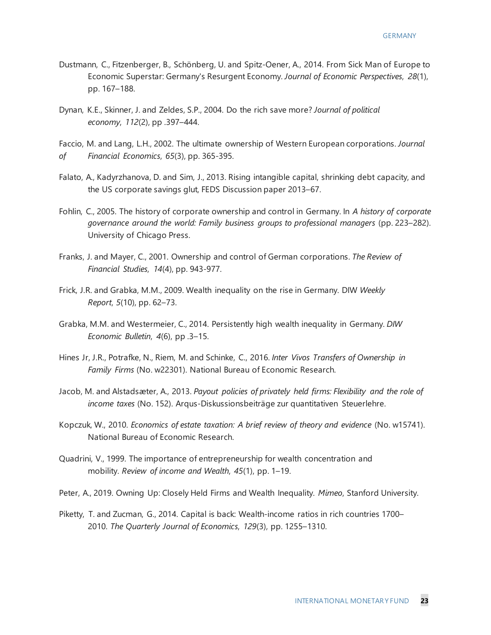- Dustmann, C., Fitzenberger, B., Schönberg, U. and Spitz-Oener, A., 2014. From Sick Man of Europe to Economic Superstar: Germany's Resurgent Economy. *Journal of Economic Perspectives*, *28*(1), pp. 167–188.
- Dynan, K.E., Skinner, J. and Zeldes, S.P., 2004. Do the rich save more? *Journal of political economy*, *112*(2), pp .397–444.

Faccio, M. and Lang, L.H., 2002. The ultimate ownership of Western European corporations. *Journal of Financial Economics*, *65*(3), pp. 365-395.

- Falato, A., Kadyrzhanova, D. and Sim, J., 2013. Rising intangible capital, shrinking debt capacity, and the US corporate savings glut, FEDS Discussion paper 2013–67.
- Fohlin, C., 2005. The history of corporate ownership and control in Germany. In *A history of corporate governance around the world: Family business groups to professional managers* (pp. 223–282). University of Chicago Press.
- Franks, J. and Mayer, C., 2001. Ownership and control of German corporations. *The Review of Financial Studies*, *14*(4), pp. 943-977.
- Frick, J.R. and Grabka, M.M., 2009. Wealth inequality on the rise in Germany. DIW *Weekly Report*, *5*(10), pp. 62–73.
- Grabka, M.M. and Westermeier, C., 2014. Persistently high wealth inequality in Germany. *DIW Economic Bulletin*, *4*(6), pp .3–15.
- Hines Jr, J.R., Potrafke, N., Riem, M. and Schinke, C., 2016. *Inter Vivos Transfers of Ownership in Family Firms* (No. w22301). National Bureau of Economic Research.
- Jacob, M. and Alstadsæter, A., 2013. *Payout policies of privately held firms: Flexibility and the role of income taxes* (No. 152). Arqus-Diskussionsbeiträge zur quantitativen Steuerlehre.
- Kopczuk, W., 2010. *Economics of estate taxation: A brief review of theory and evidence* (No. w15741). National Bureau of Economic Research.
- Quadrini, V., 1999. The importance of entrepreneurship for wealth concentration and mobility. *Review of income and Wealth*, *45*(1), pp. 1–19.

Peter, A., 2019. Owning Up: Closely Held Firms and Wealth Inequality. *Mimeo*, Stanford University.

Piketty, T. and Zucman, G., 2014. Capital is back: Wealth-income ratios in rich countries 1700– 2010. *The Quarterly Journal of Economics*, *129*(3), pp. 1255–1310.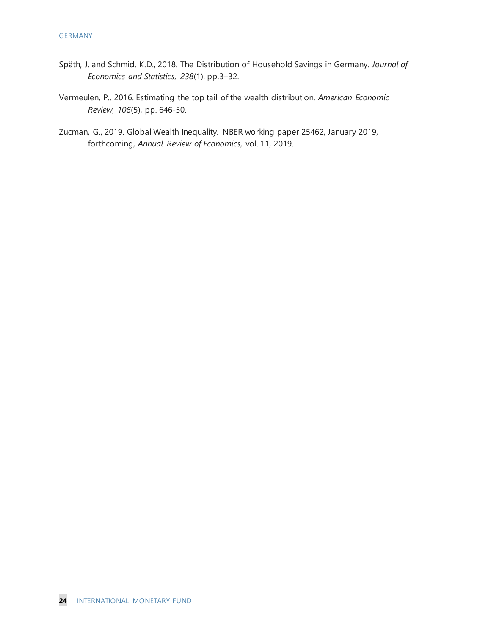- Späth, J. and Schmid, K.D., 2018. The Distribution of Household Savings in Germany. *Journal of Economics and Statistics*, *238*(1), pp.3–32.
- Vermeulen, P., 2016. Estimating the top tail of the wealth distribution. *American Economic Review*, *106*(5), pp. 646-50.
- Zucman, G., 2019. Global Wealth Inequality. NBER working paper 25462, January 2019, forthcoming, *Annual Review of Economics*, vol. 11, 2019.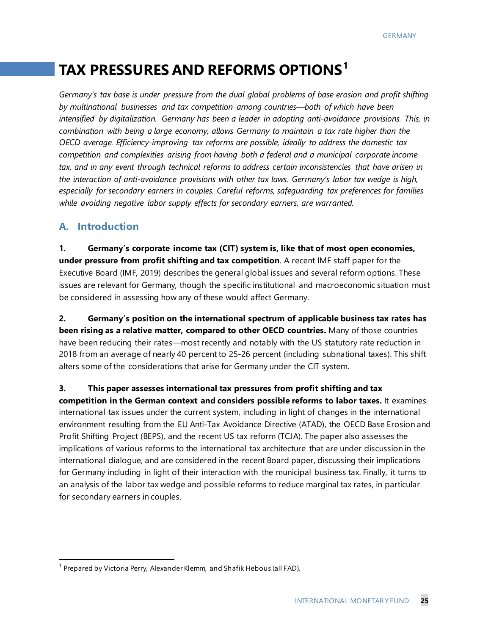# **TAX PRESSURES AND REFORMS OPTIONS[1](#page-25-0)**

*Germany's tax base is under pressure from the dual global problems of base erosion and profit shifting by multinational businesses and tax competition among countries—both of which have been intensified by digitalization. Germany has been a leader in adopting anti-avoidance provisions. This, in combination with being a large economy, allows Germany to maintain a tax rate higher than the OECD average. Efficiency-improving tax reforms are possible, ideally to address the domestic tax competition and complexities arising from having both a federal and a municipal corporate income tax, and in any event through technical reforms to address certain inconsistencies that have arisen in the interaction of anti-avoidance provisions with other tax laws. Germany's labor tax wedge is high, especially for secondary earners in couples. Careful reforms, safeguarding tax preferences for families while avoiding negative labor supply effects for secondary earners, are warranted.* 

# **A. Introduction**

**1. Germany's corporate income tax (CIT) system is, like that of most open economies, under pressure from profit shifting and tax competition**. A recent IMF staff paper for the Executive Board (IMF, 2019) describes the general global issues and several reform options. These issues are relevant for Germany, though the specific institutional and macroeconomic situation must be considered in assessing how any of these would affect Germany.

**2. Germany's position on the international spectrum of applicable business tax rates has been rising as a relative matter, compared to other OECD countries.** Many of those countries have been reducing their rates—most recently and notably with the US statutory rate reduction in 2018 from an average of nearly 40 percent to 25-26 percent (including subnational taxes). This shift alters some of the considerations that arise for Germany under the CIT system.

**3. This paper assesses international tax pressures from profit shifting and tax competition in the German context and considers possible reforms to labor taxes.** It examines international tax issues under the current system, including in light of changes in the international environment resulting from the EU Anti-Tax Avoidance Directive (ATAD), the OECD Base Erosion and Profit Shifting Project (BEPS), and the recent US tax reform (TCJA). The paper also assesses the implications of various reforms to the international tax architecture that are under discussion in the international dialogue, and are considered in the recent Board paper, discussing their implications for Germany including in light of their interaction with the municipal business tax. Finally, it turns to an analysis of the labor tax wedge and possible reforms to reduce marginal tax rates, in particular for secondary earners in couples.

<span id="page-25-0"></span> $1$  Prepared by Victoria Perry, Alexander Klemm, and Shafik Hebous (all FAD).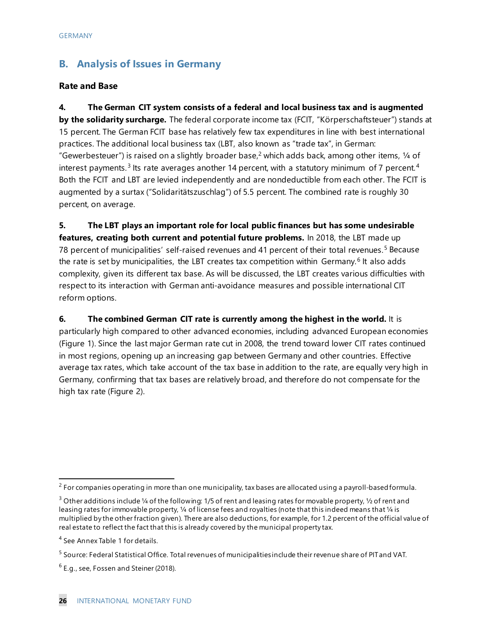# **B. Analysis of Issues in Germany**

#### **Rate and Base**

**4. The German CIT system consists of a federal and local business tax and is augmented by the solidarity surcharge.** The federal corporate income tax (FCIT, "Körperschaftsteuer") stands at 15 percent. The German FCIT base has relatively few tax expenditures in line with best international practices. The additional local business tax (LBT, also known as "trade tax", in German: "Gewerbesteuer") is raised on a slightly broader base,<sup>2</sup> which adds back, among other items,  $\frac{1}{4}$  of interest payments.<sup>[3](#page-26-1)</sup> Its rate averages another 1[4](#page-26-2) percent, with a statutory minimum of 7 percent.<sup>4</sup> Both the FCIT and LBT are levied independently and are nondeductible from each other. The FCIT is augmented by a surtax ("Solidaritätszuschlag") of 5.5 percent. The combined rate is roughly 30 percent, on average.

**5. The LBT plays an important role for local public finances but has some undesirable features, creating both current and potential future problems.** In 2018, the LBT made up 78 percent of municipalities' self-raised revenues and 41 percent of their total revenues.<sup>[5](#page-26-3)</sup> Because the rate is set by municipalities, the LBT creates tax competition within Germany.<sup>[6](#page-26-4)</sup> It also adds complexity, given its different tax base. As will be discussed, the LBT creates various difficulties with respect to its interaction with German anti-avoidance measures and possible international CIT reform options.

#### **6.** The combined German CIT rate is currently among the highest in the world. It is

particularly high compared to other advanced economies, including advanced European economies (Figure 1). Since the last major German rate cut in 2008, the trend toward lower CIT rates continued in most regions, opening up an increasing gap between Germany and other countries. Effective average tax rates, which take account of the tax base in addition to the rate, are equally very high in Germany, confirming that tax bases are relatively broad, and therefore do not compensate for the high tax rate (Figure 2).

<span id="page-26-0"></span> $2$  For companies operating in more than one municipality, tax bases are allocated using a payroll-based formula.

<span id="page-26-1"></span><sup>&</sup>lt;sup>3</sup> Other additions include ¼ of the following: 1/5 of rent and leasing rates for movable property, ½ of rent and leasing rates for immovable property, ¼ of license fees and royalties (note that this indeed means that ¼ is multiplied by the other fraction given). There are also deductions, for example, for 1.2 percent of the official value of real estate to reflect the fact that this is already covered by the municipal property tax.

<span id="page-26-2"></span><sup>&</sup>lt;sup>4</sup> See Annex Table 1 for details.

<span id="page-26-3"></span><sup>5</sup> Source: Federal Statistical Office. Total revenues of municipalities include their revenue share of PIT and VAT.

<span id="page-26-4"></span> $6$  E.g., see, Fossen and Steiner (2018).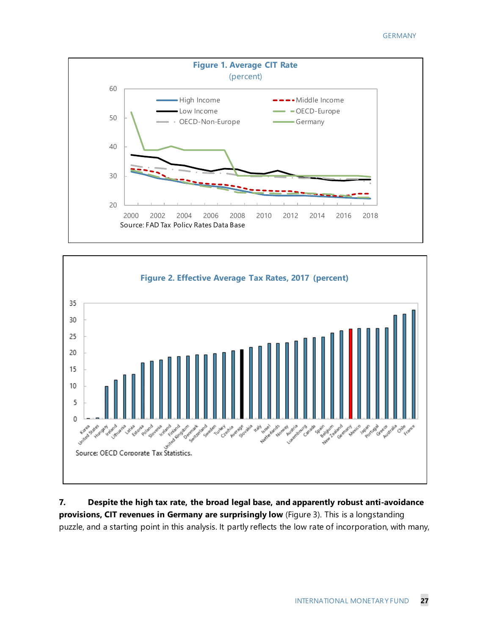



**7. Despite the high tax rate, the broad legal base, and apparently robust anti-avoidance provisions, CIT revenues in Germany are surprisingly low** (Figure 3). This is a longstanding puzzle, and a starting point in this analysis. It partly reflects the low rate of incorporation, with many,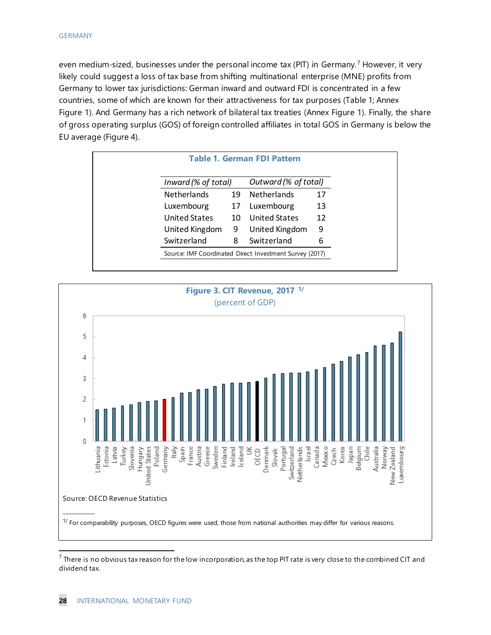even medium-sized, businesses under the personal income tax (PIT) in Germany.<sup>[7](#page-28-0)</sup> However, it very likely could suggest a loss of tax base from shifting multinational enterprise (MNE) profits from Germany to lower tax jurisdictions: German inward and outward FDI is concentrated in a few countries, some of which are known for their attractiveness for tax purposes (Table 1; Annex Figure 1). And Germany has a rich network of bilateral tax treaties (Annex Figure 1). Finally, the share of gross operating surplus (GOS) of foreign controlled affiliates in total GOS in Germany is below the EU average (Figure 4).

| Inward (% of total) |    | Outward (% of total) |    |
|---------------------|----|----------------------|----|
| <b>Netherlands</b>  | 19 | <b>Netherlands</b>   | 17 |
| Luxembourg          | 17 | Luxembourg           | 13 |
| United States       | 10 | United States        | 12 |
| United Kingdom      | 9  | United Kingdom       | 9  |
| Switzerland         | 8  | Switzerland          | 6  |



<span id="page-28-0"></span> $^7$  There is no obvious tax reason for the low incorporation, as the top PIT rate is very close to the combined CIT and dividend tax.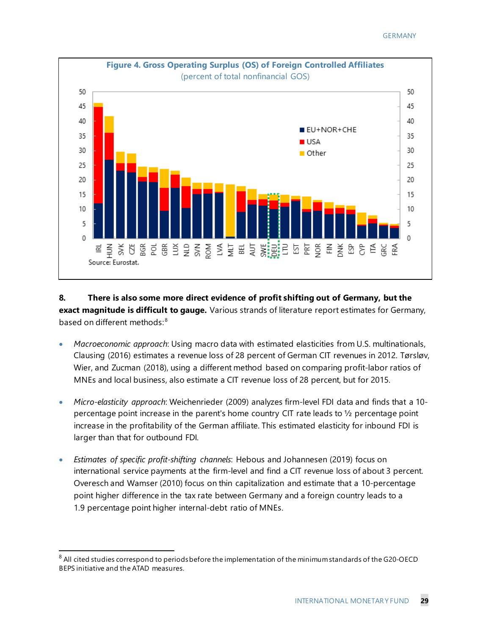

## **8. There is also some more direct evidence of profit shifting out of Germany, but the exact magnitude is difficult to gauge.** Various strands of literature report estimates for Germany, based on different methods:<sup>[8](#page-29-0)</sup>

- *Macroeconomic approach*: Using macro data with estimated elasticities from U.S. multinationals, Clausing (2016) estimates a revenue loss of 28 percent of German CIT revenues in 2012. Tørsløv, Wier, and Zucman (2018), using a different method based on comparing profit-labor ratios of MNEs and local business, also estimate a CIT revenue loss of 28 percent, but for 2015.
- *Micro-elasticity approach*: Weichenrieder (2009) analyzes firm-level FDI data and finds that a 10 percentage point increase in the parent's home country CIT rate leads to ½ percentage point increase in the profitability of the German affiliate. This estimated elasticity for inbound FDI is larger than that for outbound FDI.
- *Estimates of specific profit-shifting channels*: Hebous and Johannesen (2019) focus on international service payments at the firm-level and find a CIT revenue loss of about 3 percent. Overesch and Wamser (2010) focus on thin capitalization and estimate that a 10-percentage point higher difference in the tax rate between Germany and a foreign country leads to a 1.9 percentage point higher internal-debt ratio of MNEs.

<span id="page-29-0"></span> $8$  All cited studies correspond to periods before the implementation of the minimum standards of the G20-OECD BEPS initiative and the ATAD measures.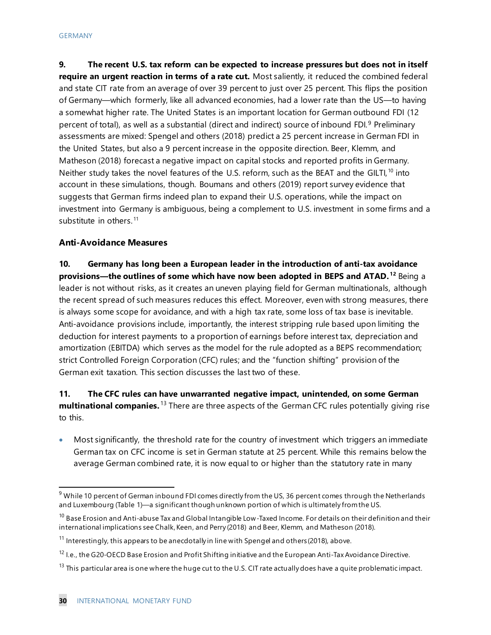**9. The recent U.S. tax reform can be expected to increase pressures but does not in itself require an urgent reaction in terms of a rate cut.** Most saliently, it reduced the combined federal and state CIT rate from an average of over 39 percent to just over 25 percent. This flips the position of Germany—which formerly, like all advanced economies, had a lower rate than the US—to having a somewhat higher rate. The United States is an important location for German outbound FDI (12 percent of total), as well as a substantial (direct and indirect) source of inbound FDI.<sup>[9](#page-30-0)</sup> Preliminary assessments are mixed: Spengel and others (2018) predict a 25 percent increase in German FDI in the United States, but also a 9 percent increase in the opposite direction. Beer, Klemm, and Matheson (2018) forecast a negative impact on capital stocks and reported profits in Germany. Neither study takes the novel features of the U.S. reform, such as the BEAT and the GILTI,<sup>[10](#page-30-1)</sup> into account in these simulations, though. Boumans and others (2019) report survey evidence that suggests that German firms indeed plan to expand their U.S. operations, while the impact on investment into Germany is ambiguous, being a complement to U.S. investment in some firms and a substitute in others.<sup>[11](#page-30-2)</sup>

#### **Anti-Avoidance Measures**

**10. Germany has long been a European leader in the introduction of anti-tax avoidance provisions—the outlines of some which have now been adopted in BEPS and ATAD. [12](#page-30-3)** Being a leader is not without risks, as it creates an uneven playing field for German multinationals, although the recent spread of such measures reduces this effect. Moreover, even with strong measures, there is always some scope for avoidance, and with a high tax rate, some loss of tax base is inevitable. Anti-avoidance provisions include, importantly, the interest stripping rule based upon limiting the deduction for interest payments to a proportion of earnings before interest tax, depreciation and amortization (EBITDA) which serves as the model for the rule adopted as a BEPS recommendation; strict Controlled Foreign Corporation (CFC) rules; and the "function shifting" provision of the German exit taxation. This section discusses the last two of these.

## **11. The CFC rules can have unwarranted negative impact, unintended, on some German multinational companies.** [13](#page-30-4) There are three aspects of the German CFC rules potentially giving rise to this.

• Most significantly, the threshold rate for the country of investment which triggers an immediate German tax on CFC income is set in German statute at 25 percent. While this remains below the average German combined rate, it is now equal to or higher than the statutory rate in many

<span id="page-30-0"></span> $9$  While 10 percent of German inbound FDI comes directly from the US, 36 percent comes through the Netherlands and Luxembourg (Table 1)—a significant though unknown portion of which is ultimately from the US.

<span id="page-30-1"></span> $10$  Base Erosion and Anti-abuse Tax and Global Intangible Low-Taxed Income. For details on their definition and their international implications see Chalk, Keen, and Perry (2018) and Beer, Klemm, and Matheson (2018).

<span id="page-30-2"></span> $11$  Interestingly, this appears to be anecdotally in line with Spengel and others (2018), above.

<span id="page-30-3"></span><sup>&</sup>lt;sup>12</sup> I.e., the G20-OECD Base Erosion and Profit Shifting initiative and the European Anti-Tax Avoidance Directive.

<span id="page-30-4"></span> $13$  This particular area is one where the huge cut to the U.S. CIT rate actually does have a quite problematic impact.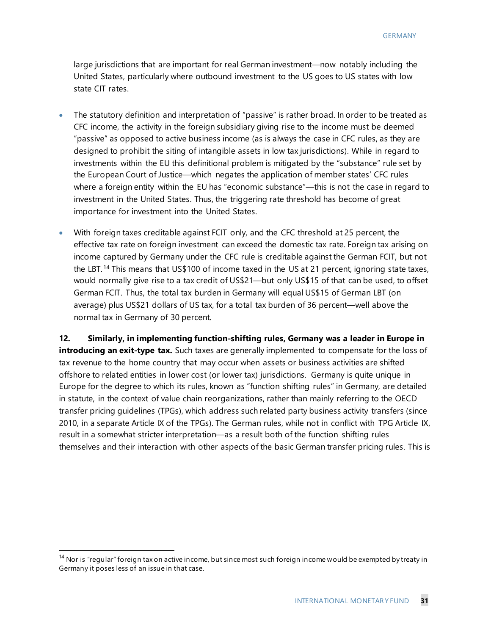large jurisdictions that are important for real German investment—now notably including the United States, particularly where outbound investment to the US goes to US states with low state CIT rates.

- The statutory definition and interpretation of "passive" is rather broad. In order to be treated as CFC income, the activity in the foreign subsidiary giving rise to the income must be deemed "passive" as opposed to active business income (as is always the case in CFC rules, as they are designed to prohibit the siting of intangible assets in low tax jurisdictions). While in regard to investments within the EU this definitional problem is mitigated by the "substance" rule set by the European Court of Justice—which negates the application of member states' CFC rules where a foreign entity within the EU has "economic substance"—this is not the case in regard to investment in the United States. Thus, the triggering rate threshold has become of great importance for investment into the United States.
- With foreign taxes creditable against FCIT only, and the CFC threshold at 25 percent, the effective tax rate on foreign investment can exceed the domestic tax rate. Foreign tax arising on income captured by Germany under the CFC rule is creditable against the German FCIT, but not the LBT.<sup>[14](#page-31-0)</sup> This means that US\$100 of income taxed in the US at 21 percent, ignoring state taxes, would normally give rise to a tax credit of US\$21—but only US\$15 of that can be used, to offset German FCIT. Thus, the total tax burden in Germany will equal US\$15 of German LBT (on average) plus US\$21 dollars of US tax, for a total tax burden of 36 percent—well above the normal tax in Germany of 30 percent.

**12. Similarly, in implementing function-shifting rules, Germany was a leader in Europe in introducing an exit-type tax.** Such taxes are generally implemented to compensate for the loss of tax revenue to the home country that may occur when assets or business activities are shifted offshore to related entities in lower cost (or lower tax) jurisdictions. Germany is quite unique in Europe for the degree to which its rules, known as "function shifting rules" in Germany, are detailed in statute, in the context of value chain reorganizations, rather than mainly referring to the OECD transfer pricing guidelines (TPGs), which address such related party business activity transfers (since 2010, in a separate Article IX of the TPGs). The German rules, while not in conflict with TPG Article IX, result in a somewhat stricter interpretation—as a result both of the function shifting rules themselves and their interaction with other aspects of the basic German transfer pricing rules. This is

<span id="page-31-0"></span><sup>&</sup>lt;sup>14</sup> Nor is "regular" foreign tax on active income, but since most such foreign income would be exempted by treaty in Germany it poses less of an issue in that case.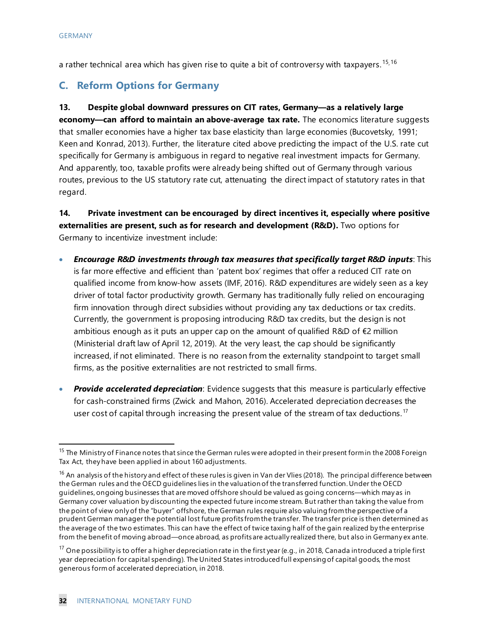a rather technical area which has given rise to quite a bit of controversy with taxpayers.<sup>[15,](#page-32-0)[16](#page-32-1)</sup>

# **C. Reform Options for Germany**

**13. Despite global downward pressures on CIT rates, Germany—as a relatively large economy—can afford to maintain an above-average tax rate.** The economics literature suggests that smaller economies have a higher tax base elasticity than large economies (Bucovetsky, 1991; Keen and Konrad, 2013). Further, the literature cited above predicting the impact of the U.S. rate cut specifically for Germany is ambiguous in regard to negative real investment impacts for Germany. And apparently, too, taxable profits were already being shifted out of Germany through various routes, previous to the US statutory rate cut, attenuating the direct impact of statutory rates in that regard.

**14. Private investment can be encouraged by direct incentives it, especially where positive externalities are present, such as for research and development (R&D).** Two options for Germany to incentivize investment include:

- *Encourage R&D investments through tax measures that specifically target R&D inputs*: This is far more effective and efficient than 'patent box' regimes that offer a reduced CIT rate on qualified income from know-how assets (IMF, 2016). R&D expenditures are widely seen as a key driver of total factor productivity growth. Germany has traditionally fully relied on encouraging firm innovation through direct subsidies without providing any tax deductions or tax credits. Currently, the government is proposing introducing R&D tax credits, but the design is not ambitious enough as it puts an upper cap on the amount of qualified R&D of  $\epsilon$ 2 million (Ministerial draft law of April 12, 2019). At the very least, the cap should be significantly increased, if not eliminated. There is no reason from the externality standpoint to target small firms, as the positive externalities are not restricted to small firms.
- *Provide accelerated depreciation*: Evidence suggests that this measure is particularly effective for cash-constrained firms (Zwick and Mahon, 2016). Accelerated depreciation decreases the user cost of capital through increasing the present value of the stream of tax deductions.<sup>[17](#page-32-2)</sup>

<span id="page-32-0"></span><sup>&</sup>lt;sup>15</sup> The Ministry of Finance notes that since the German rules were adopted in their present form in the 2008 Foreign Tax Act, they have been applied in about 160 adjustments.

<span id="page-32-1"></span><sup>&</sup>lt;sup>16</sup> An analysis of the history and effect of these rules is given in Van der Vlies (2018). The principal difference between the German rules and the OECD guidelines lies in the valuation of the transferred function.Under the OECD guidelines, ongoing businesses that are moved offshore should be valued as going concerns—which may as in Germany cover valuation by discounting the expected future income stream. But rather than taking the value from the point of view only of the "buyer" offshore, the German rules require also valuing from the perspective of a prudent German manager the potential lost future profits from the transfer. The transfer price is then determined as the average of the two estimates. This can have the effect of twice taxing half of the gain realized by the enterprise from the benefit of moving abroad—once abroad, as profits are actually realized there, but also in Germany ex ante.

<span id="page-32-2"></span><sup>&</sup>lt;sup>17</sup> One possibility is to offer a higher depreciation rate in the first year (e.g., in 2018, Canada introduced a triple first year depreciation for capital spending). The United States introduced full expensing of capital goods, the most generous form of accelerated depreciation, in 2018.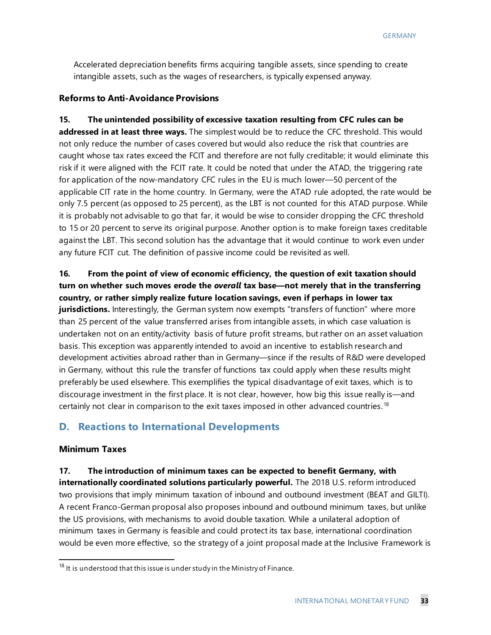Accelerated depreciation benefits firms acquiring tangible assets, since spending to create intangible assets, such as the wages of researchers, is typically expensed anyway.

#### **Reforms to Anti-Avoidance Provisions**

**15. The unintended possibility of excessive taxation resulting from CFC rules can be addressed in at least three ways.** The simplest would be to reduce the CFC threshold. This would not only reduce the number of cases covered but would also reduce the risk that countries are caught whose tax rates exceed the FCIT and therefore are not fully creditable; it would eliminate this risk if it were aligned with the FCIT rate. It could be noted that under the ATAD, the triggering rate for application of the now-mandatory CFC rules in the EU is much lower—50 percent of the applicable CIT rate in the home country. In Germany, were the ATAD rule adopted, the rate would be only 7.5 percent (as opposed to 25 percent), as the LBT is not counted for this ATAD purpose. While it is probably not advisable to go that far, it would be wise to consider dropping the CFC threshold to 15 or 20 percent to serve its original purpose. Another option is to make foreign taxes creditable against the LBT. This second solution has the advantage that it would continue to work even under any future FCIT cut. The definition of passive income could be revisited as well.

**16. From the point of view of economic efficiency, the question of exit taxation should turn on whether such moves erode the** *overall* **tax base—not merely that in the transferring country, or rather simply realize future location savings, even if perhaps in lower tax jurisdictions.** Interestingly, the German system now exempts "transfers of function" where more than 25 percent of the value transferred arises from intangible assets, in which case valuation is undertaken not on an entity/activity basis of future profit streams, but rather on an asset valuation basis. This exception was apparently intended to avoid an incentive to establish research and development activities abroad rather than in Germany—since if the results of R&D were developed in Germany, without this rule the transfer of functions tax could apply when these results might preferably be used elsewhere. This exemplifies the typical disadvantage of exit taxes, which is to discourage investment in the first place. It is not clear, however, how big this issue really is—and certainly not clear in comparison to the exit taxes imposed in other advanced countries.<sup>[18](#page-33-0)</sup>

#### **D. Reactions to International Developments**

#### **Minimum Taxes**

**17. The introduction of minimum taxes can be expected to benefit Germany, with internationally coordinated solutions particularly powerful.** The 2018 U.S. reform introduced two provisions that imply minimum taxation of inbound and outbound investment (BEAT and GILTI). A recent Franco-German proposal also proposes inbound and outbound minimum taxes, but unlike the US provisions, with mechanisms to avoid double taxation. While a unilateral adoption of minimum taxes in Germany is feasible and could protect its tax base, international coordination would be even more effective, so the strategy of a joint proposal made at the Inclusive Framework is

<span id="page-33-0"></span> $18$  It is understood that this issue is under study in the Ministry of Finance.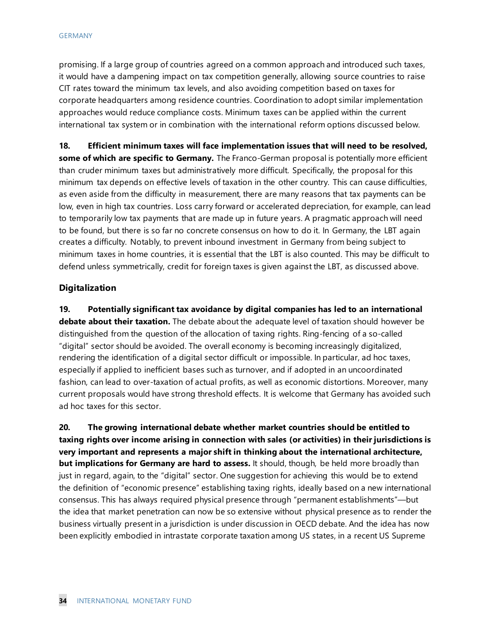promising. If a large group of countries agreed on a common approach and introduced such taxes, it would have a dampening impact on tax competition generally, allowing source countries to raise CIT rates toward the minimum tax levels, and also avoiding competition based on taxes for corporate headquarters among residence countries. Coordination to adopt similar implementation approaches would reduce compliance costs. Minimum taxes can be applied within the current international tax system or in combination with the international reform options discussed below.

**18. Efficient minimum taxes will face implementation issues that will need to be resolved, some of which are specific to Germany.** The Franco-German proposal is potentially more efficient than cruder minimum taxes but administratively more difficult. Specifically, the proposal for this minimum tax depends on effective levels of taxation in the other country. This can cause difficulties, as even aside from the difficulty in measurement, there are many reasons that tax payments can be low, even in high tax countries. Loss carry forward or accelerated depreciation, for example, can lead to temporarily low tax payments that are made up in future years. A pragmatic approach will need to be found, but there is so far no concrete consensus on how to do it. In Germany, the LBT again creates a difficulty. Notably, to prevent inbound investment in Germany from being subject to minimum taxes in home countries, it is essential that the LBT is also counted. This may be difficult to defend unless symmetrically, credit for foreign taxes is given against the LBT, as discussed above.

#### **Digitalization**

**19. Potentially significant tax avoidance by digital companies has led to an international debate about their taxation.** The debate about the adequate level of taxation should however be distinguished from the question of the allocation of taxing rights. Ring-fencing of a so-called "digital" sector should be avoided. The overall economy is becoming increasingly digitalized, rendering the identification of a digital sector difficult or impossible. In particular, ad hoc taxes, especially if applied to inefficient bases such as turnover, and if adopted in an uncoordinated fashion, can lead to over-taxation of actual profits, as well as economic distortions. Moreover, many current proposals would have strong threshold effects. It is welcome that Germany has avoided such ad hoc taxes for this sector.

**20. The growing international debate whether market countries should be entitled to taxing rights over income arising in connection with sales (or activities) in their jurisdictions is very important and represents a major shift in thinking about the international architecture, but implications for Germany are hard to assess.** It should, though, be held more broadly than just in regard, again, to the "digital" sector. One suggestion for achieving this would be to extend the definition of "economic presence" establishing taxing rights, ideally based on a new international consensus. This has always required physical presence through "permanent establishments"—but the idea that market penetration can now be so extensive without physical presence as to render the business virtually present in a jurisdiction is under discussion in OECD debate. And the idea has now been explicitly embodied in intrastate corporate taxation among US states, in a recent US Supreme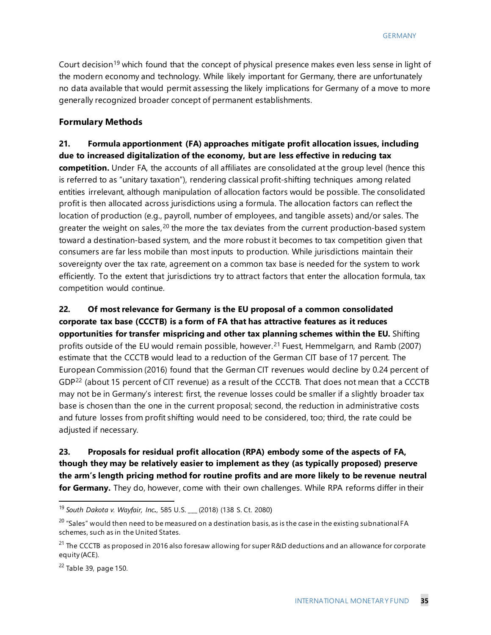Court decision<sup>[19](#page-35-0)</sup> which found that the concept of physical presence makes even less sense in light of the modern economy and technology. While likely important for Germany, there are unfortunately no data available that would permit assessing the likely implications for Germany of a move to more generally recognized broader concept of permanent establishments.

#### **Formulary Methods**

## **21. Formula apportionment (FA) approaches mitigate profit allocation issues, including due to increased digitalization of the economy, but are less effective in reducing tax competition.** Under FA, the accounts of all affiliates are consolidated at the group level (hence this is referred to as "unitary taxation"), rendering classical profit-shifting techniques among related

entities irrelevant, although manipulation of allocation factors would be possible. The consolidated profit is then allocated across jurisdictions using a formula. The allocation factors can reflect the location of production (e.g., payroll, number of employees, and tangible assets) and/or sales. The greater the weight on sales, $20$  the more the tax deviates from the current production-based system toward a destination-based system, and the more robust it becomes to tax competition given that consumers are far less mobile than most inputs to production. While jurisdictions maintain their sovereignty over the tax rate, agreement on a common tax base is needed for the system to work efficiently. To the extent that jurisdictions try to attract factors that enter the allocation formula, tax competition would continue.

# **22. Of most relevance for Germany is the EU proposal of a common consolidated corporate tax base (CCCTB) is a form of FA that has attractive features as it reduces opportunities for transfer mispricing and other tax planning schemes within the EU.** Shifting profits outside of the EU would remain possible, however.<sup>[21](#page-35-2)</sup> Fuest, Hemmelgarn, and Ramb (2007) estimate that the CCCTB would lead to a reduction of the German CIT base of 17 percent. The European Commission (2016) found that the German CIT revenues would decline by 0.24 percent of GDP<sup>[22](#page-35-3)</sup> (about 15 percent of CIT revenue) as a result of the CCCTB. That does not mean that a CCCTB may not be in Germany's interest: first, the revenue losses could be smaller if a slightly broader tax base is chosen than the one in the current proposal; second, the reduction in administrative costs and future losses from profit shifting would need to be considered, too; third, the rate could be adjusted if necessary.

## **23. Proposals for residual profit allocation (RPA) embody some of the aspects of FA, though they may be relatively easier to implement as they (as typically proposed) preserve the arm's length pricing method for routine profits and are more likely to be revenue neutral for Germany.** They do, however, come with their own challenges. While RPA reforms differ in their

<span id="page-35-3"></span> $22$  Table 39, page 150.

<span id="page-35-0"></span> <sup>19</sup> *South Dakota v. Wayfair, Inc.*, 585 U.S. \_\_\_ (2018) (138 S. Ct. 2080)

<span id="page-35-1"></span> $^{20}$  "Sales" would then need to be measured on a destination basis, as is the case in the existing subnational FA schemes, such as in the United States.

<span id="page-35-2"></span><sup>&</sup>lt;sup>21</sup> The CCCTB as proposed in 2016 also foresaw allowing for super R&D deductions and an allowance for corporate equity (ACE).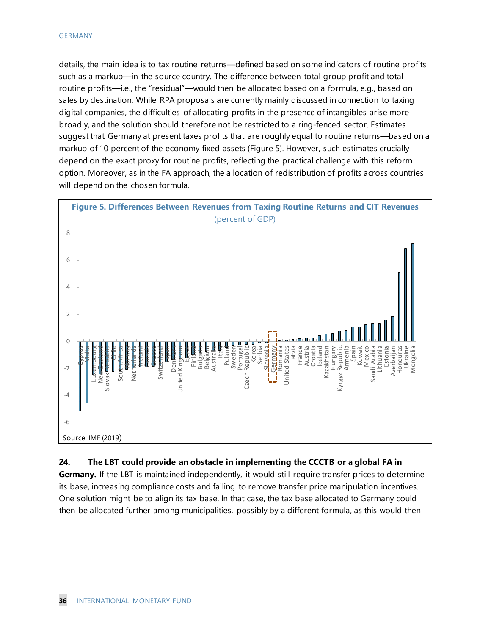details, the main idea is to tax routine returns—defined based on some indicators of routine profits such as a markup—in the source country. The difference between total group profit and total routine profits—i.e., the "residual"—would then be allocated based on a formula, e.g., based on sales by destination. While RPA proposals are currently mainly discussed in connection to taxing digital companies, the difficulties of allocating profits in the presence of intangibles arise more broadly, and the solution should therefore not be restricted to a ring-fenced sector. Estimates suggest that Germany at present taxes profits that are roughly equal to routine returns**—**based on a markup of 10 percent of the economy fixed assets (Figure 5). However, such estimates crucially depend on the exact proxy for routine profits, reflecting the practical challenge with this reform option. Moreover, as in the FA approach, the allocation of redistribution of profits across countries will depend on the chosen formula.



#### **24. The LBT could provide an obstacle in implementing the CCCTB or a global FA in**

**Germany.** If the LBT is maintained independently, it would still require transfer prices to determine its base, increasing compliance costs and failing to remove transfer price manipulation incentives. One solution might be to align its tax base. In that case, the tax base allocated to Germany could then be allocated further among municipalities, possibly by a different formula, as this would then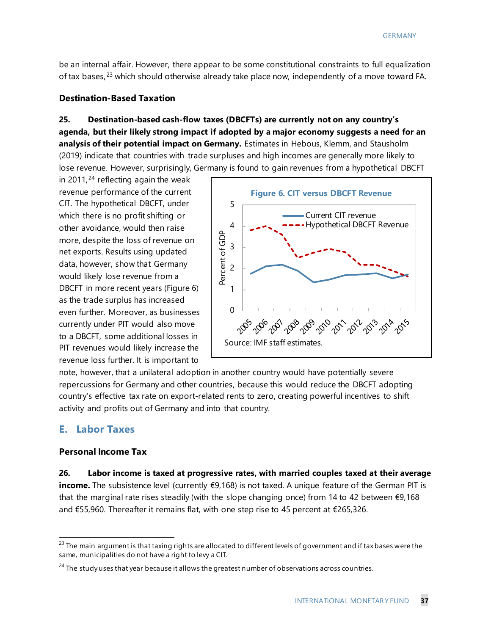be an internal affair. However, there appear to be some constitutional constraints to full equalization of tax bases,  $23$  which should otherwise already take place now, independently of a move toward FA.

#### **Destination-Based Taxation**

# **25. Destination-based cash-flow taxes (DBCFTs) are currently not on any country's agenda, but their likely strong impact if adopted by a major economy suggests a need for an analysis of their potential impact on Germany.** Estimates in Hebous, Klemm, and Stausholm (2019) indicate that countries with trade surpluses and high incomes are generally more likely to lose revenue. However, surprisingly, Germany is found to gain revenues from a hypothetical DBCFT

in 2011, $24$  reflecting again the weak revenue performance of the current CIT. The hypothetical DBCFT, under which there is no profit shifting or other avoidance, would then raise more, despite the loss of revenue on net exports. Results using updated data, however, show that Germany would likely lose revenue from a DBCFT in more recent years (Figure 6) as the trade surplus has increased even further. Moreover, as businesses currently under PIT would also move to a DBCFT, some additional losses in PIT revenues would likely increase the revenue loss further. It is important to



note, however, that a unilateral adoption in another country would have potentially severe repercussions for Germany and other countries, because this would reduce the DBCFT adopting country's effective tax rate on export-related rents to zero, creating powerful incentives to shift activity and profits out of Germany and into that country.

# **E. Labor Taxes**

#### **Personal Income Tax**

#### **26. Labor income is taxed at progressive rates, with married couples taxed at their average**

**income.** The subsistence level (currently €9,168) is not taxed. A unique feature of the German PIT is that the marginal rate rises steadily (with the slope changing once) from 14 to 42 between €9,168 and €55,960. Thereafter it remains flat, with one step rise to 45 percent at €265,326.

<span id="page-37-0"></span> $^{23}$  The main argument is that taxing rights are allocated to different levels of government and if tax bases were the same, municipalities do not have a right to levy a CIT.

<span id="page-37-1"></span> $24$  The study uses that year because it allows the greatest number of observations across countries.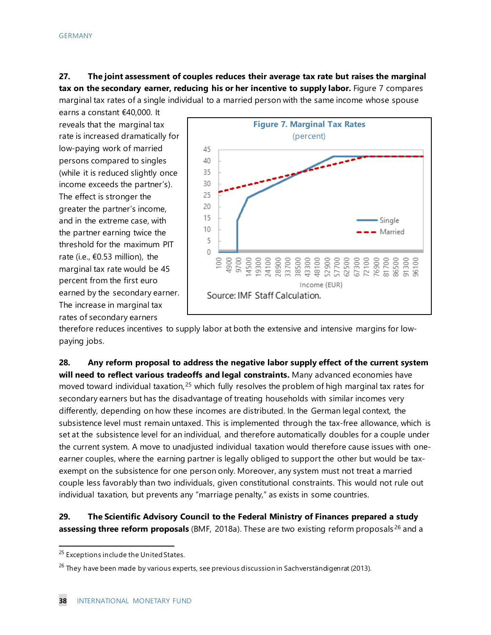**27. The joint assessment of couples reduces their average tax rate but raises the marginal tax on the secondary earner, reducing his or her incentive to supply labor.** Figure 7 compares marginal tax rates of a single individual to a married person with the same income whose spouse

earns a constant €40,000. It reveals that the marginal tax rate is increased dramatically for low-paying work of married persons compared to singles (while it is reduced slightly once income exceeds the partner's). The effect is stronger the greater the partner's income, and in the extreme case, with the partner earning twice the threshold for the maximum PIT rate (i.e., €0.53 million), the marginal tax rate would be 45 percent from the first euro earned by the secondary earner. The increase in marginal tax rates of secondary earners



therefore reduces incentives to supply labor at both the extensive and intensive margins for lowpaying jobs.

**28. Any reform proposal to address the negative labor supply effect of the current system will need to reflect various tradeoffs and legal constraints.** Many advanced economies have moved toward individual taxation,  $25$  which fully resolves the problem of high marginal tax rates for secondary earners but has the disadvantage of treating households with similar incomes very differently, depending on how these incomes are distributed. In the German legal context, the subsistence level must remain untaxed. This is implemented through the tax-free allowance, which is set at the subsistence level for an individual, and therefore automatically doubles for a couple under the current system. A move to unadjusted individual taxation would therefore cause issues with oneearner couples, where the earning partner is legally obliged to support the other but would be taxexempt on the subsistence for one person only. Moreover, any system must not treat a married couple less favorably than two individuals, given constitutional constraints. This would not rule out individual taxation, but prevents any "marriage penalty," as exists in some countries.

#### **29. The Scientific Advisory Council to the Federal Ministry of Finances prepared a study assessing three reform proposals** (BMF, 2018a). These are two existing reform proposals [26](#page-38-1) and a

<span id="page-38-0"></span><sup>&</sup>lt;sup>25</sup> Exceptions include the United States.

<span id="page-38-1"></span><sup>&</sup>lt;sup>26</sup> They have been made by various experts, see previous discussion in Sachverständigenrat (2013).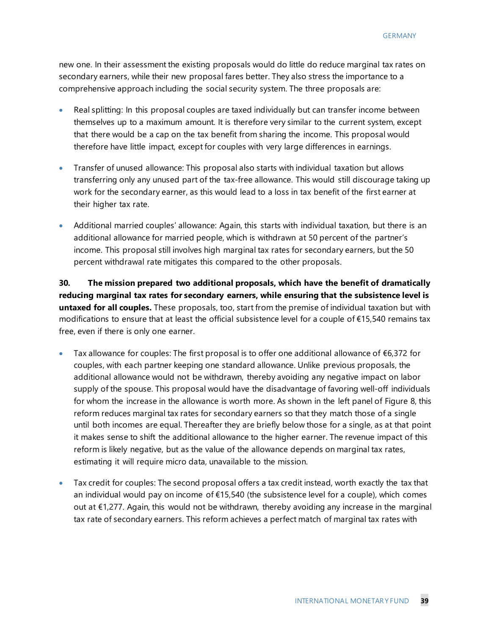new one. In their assessment the existing proposals would do little do reduce marginal tax rates on secondary earners, while their new proposal fares better. They also stress the importance to a comprehensive approach including the social security system. The three proposals are:

- Real splitting: In this proposal couples are taxed individually but can transfer income between themselves up to a maximum amount. It is therefore very similar to the current system, except that there would be a cap on the tax benefit from sharing the income. This proposal would therefore have little impact, except for couples with very large differences in earnings.
- Transfer of unused allowance: This proposal also starts with individual taxation but allows transferring only any unused part of the tax-free allowance. This would still discourage taking up work for the secondary earner, as this would lead to a loss in tax benefit of the first earner at their higher tax rate.
- Additional married couples' allowance: Again, this starts with individual taxation, but there is an additional allowance for married people, which is withdrawn at 50 percent of the partner's income. This proposal still involves high marginal tax rates for secondary earners, but the 50 percent withdrawal rate mitigates this compared to the other proposals.

**30. The mission prepared two additional proposals, which have the benefit of dramatically reducing marginal tax rates for secondary earners, while ensuring that the subsistence level is untaxed for all couples.** These proposals, too, start from the premise of individual taxation but with modifications to ensure that at least the official subsistence level for a couple of €15,540 remains tax free, even if there is only one earner.

- Tax allowance for couples: The first proposal is to offer one additional allowance of  $\epsilon$ 6,372 for couples, with each partner keeping one standard allowance. Unlike previous proposals, the additional allowance would not be withdrawn, thereby avoiding any negative impact on labor supply of the spouse. This proposal would have the disadvantage of favoring well-off individuals for whom the increase in the allowance is worth more. As shown in the left panel of Figure 8, this reform reduces marginal tax rates for secondary earners so that they match those of a single until both incomes are equal. Thereafter they are briefly below those for a single, as at that point it makes sense to shift the additional allowance to the higher earner. The revenue impact of this reform is likely negative, but as the value of the allowance depends on marginal tax rates, estimating it will require micro data, unavailable to the mission.
- Tax credit for couples: The second proposal offers a tax credit instead, worth exactly the tax that an individual would pay on income of €15,540 (the subsistence level for a couple), which comes out at €1,277. Again, this would not be withdrawn, thereby avoiding any increase in the marginal tax rate of secondary earners. This reform achieves a perfect match of marginal tax rates with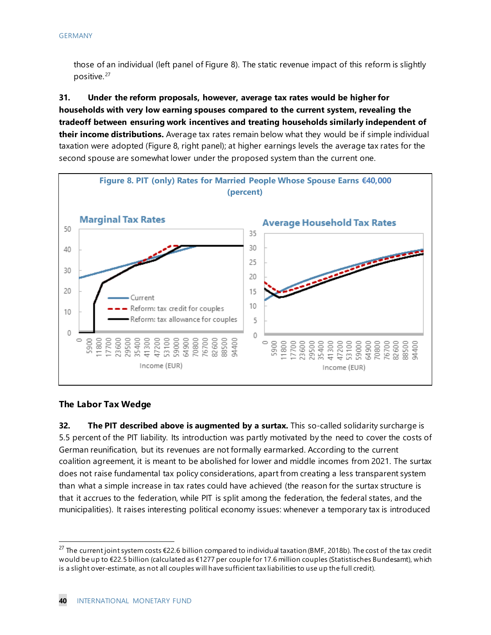those of an individual (left panel of Figure 8). The static revenue impact of this reform is slightly positive. [27](#page-40-0)

**31. Under the reform proposals, however, average tax rates would be higher for households with very low earning spouses compared to the current system, revealing the tradeoff between ensuring work incentives and treating households similarly independent of their income distributions.** Average tax rates remain below what they would be if simple individual taxation were adopted (Figure 8, right panel); at higher earnings levels the average tax rates for the second spouse are somewhat lower under the proposed system than the current one.



#### **The Labor Tax Wedge**

**32. The PIT described above is augmented by a surtax.** This so-called solidarity surcharge is 5.5 percent of the PIT liability. Its introduction was partly motivated by the need to cover the costs of German reunification, but its revenues are not formally earmarked. According to the current coalition agreement, it is meant to be abolished for lower and middle incomes from 2021. The surtax does not raise fundamental tax policy considerations, apart from creating a less transparent system than what a simple increase in tax rates could have achieved (the reason for the surtax structure is that it accrues to the federation, while PIT is split among the federation, the federal states, and the municipalities). It raises interesting political economy issues: whenever a temporary tax is introduced

<span id="page-40-0"></span><sup>&</sup>lt;sup>27</sup> The current joint system costs €22.6 billion compared to individual taxation (BMF, 2018b). The cost of the tax credit would be up to €22.5 billion (calculated as €1277 per couple for 17.6 million couples (Statistisches Bundesamt), which is a slight over-estimate, as not all couples will have sufficient tax liabilities to use up the full credit).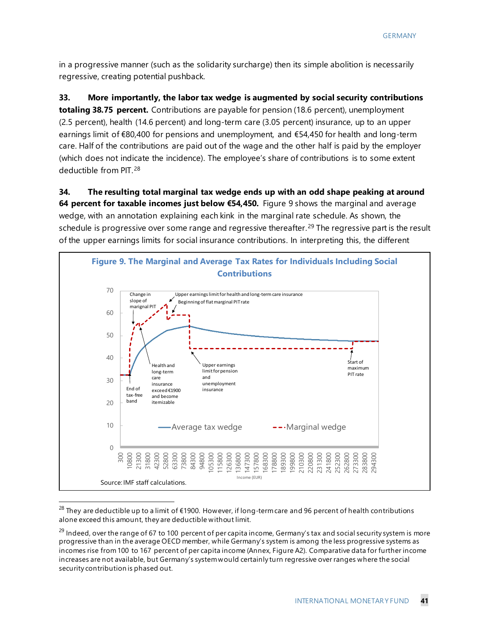in a progressive manner (such as the solidarity surcharge) then its simple abolition is necessarily regressive, creating potential pushback.

**33. More importantly, the labor tax wedge is augmented by social security contributions totaling 38.75 percent.** Contributions are payable for pension (18.6 percent), unemployment (2.5 percent), health (14.6 percent) and long-term care (3.05 percent) insurance, up to an upper earnings limit of €80,400 for pensions and unemployment, and €54,450 for health and long-term care. Half of the contributions are paid out of the wage and the other half is paid by the employer (which does not indicate the incidence). The employee's share of contributions is to some extent deductible from PIT.[28](#page-41-0)

**34. The resulting total marginal tax wedge ends up with an odd shape peaking at around 64 percent for taxable incomes just below €54,450.** Figure 9 shows the marginal and average wedge, with an annotation explaining each kink in the marginal rate schedule. As shown, the schedule is progressive over some range and regressive thereafter.<sup>[29](#page-41-1)</sup> The regressive part is the result of the upper earnings limits for social insurance contributions. In interpreting this, the different



<span id="page-41-0"></span> $^{28}$  They are deductible up to a limit of €1900. However, if long-term care and 96 percent of health contributions alone exceed this amount, they are deductible without limit.

<span id="page-41-1"></span> $^{29}$  Indeed, over the range of 67 to 100 percent of per capita income, Germany's tax and social security system is more progressive than in the average OECD member, while Germany's system is among the less progressive systems as incomes rise from 100 to 167 percent of per capita income (Annex, Figure A2). Comparative data for further income increases are not available, but Germany's system would certainly turn regressive over ranges where the social security contribution is phased out.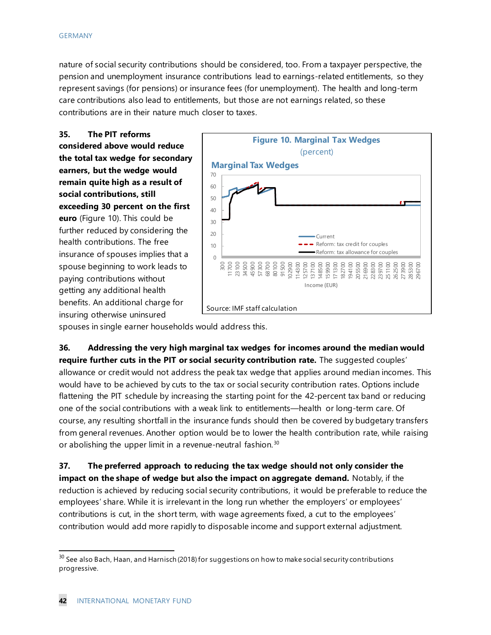nature of social security contributions should be considered, too. From a taxpayer perspective, the pension and unemployment insurance contributions lead to earnings-related entitlements, so they represent savings (for pensions) or insurance fees (for unemployment). The health and long-term care contributions also lead to entitlements, but those are not earnings related, so these contributions are in their nature much closer to taxes.

**35. The PIT reforms considered above would reduce the total tax wedge for secondary earners, but the wedge would remain quite high as a result of social contributions, still exceeding 30 percent on the first euro** (Figure 10). This could be further reduced by considering the health contributions. The free insurance of spouses implies that a spouse beginning to work leads to paying contributions without getting any additional health benefits. An additional charge for insuring otherwise uninsured



spouses in single earner households would address this.

**36. Addressing the very high marginal tax wedges for incomes around the median would require further cuts in the PIT or social security contribution rate.** The suggested couples' allowance or credit would not address the peak tax wedge that applies around median incomes. This would have to be achieved by cuts to the tax or social security contribution rates. Options include flattening the PIT schedule by increasing the starting point for the 42-percent tax band or reducing one of the social contributions with a weak link to entitlements—health or long-term care. Of course, any resulting shortfall in the insurance funds should then be covered by budgetary transfers from general revenues. Another option would be to lower the health contribution rate, while raising or abolishing the upper limit in a revenue-neutral fashion.<sup>[30](#page-42-0)</sup>

**37. The preferred approach to reducing the tax wedge should not only consider the impact on the shape of wedge but also the impact on aggregate demand.** Notably, if the reduction is achieved by reducing social security contributions, it would be preferable to reduce the employees' share. While it is irrelevant in the long run whether the employers' or employees' contributions is cut, in the short term, with wage agreements fixed, a cut to the employees' contribution would add more rapidly to disposable income and support external adjustment.

<span id="page-42-0"></span> $30$  See also Bach, Haan, and Harnisch (2018) for suggestions on how to make social security contributions progressive.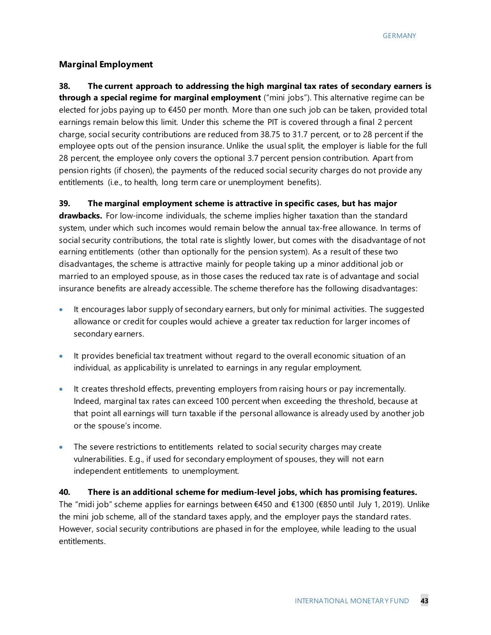#### **Marginal Employment**

**38. The current approach to addressing the high marginal tax rates of secondary earners is through a special regime for marginal employment** ("mini jobs"). This alternative regime can be elected for jobs paying up to €450 per month. More than one such job can be taken, provided total earnings remain below this limit. Under this scheme the PIT is covered through a final 2 percent charge, social security contributions are reduced from 38.75 to 31.7 percent, or to 28 percent if the employee opts out of the pension insurance. Unlike the usual split, the employer is liable for the full 28 percent, the employee only covers the optional 3.7 percent pension contribution. Apart from pension rights (if chosen), the payments of the reduced social security charges do not provide any entitlements (i.e., to health, long term care or unemployment benefits).

#### **39. The marginal employment scheme is attractive in specific cases, but has major**

**drawbacks.** For low-income individuals, the scheme implies higher taxation than the standard system, under which such incomes would remain below the annual tax-free allowance. In terms of social security contributions, the total rate is slightly lower, but comes with the disadvantage of not earning entitlements (other than optionally for the pension system). As a result of these two disadvantages, the scheme is attractive mainly for people taking up a minor additional job or married to an employed spouse, as in those cases the reduced tax rate is of advantage and social insurance benefits are already accessible. The scheme therefore has the following disadvantages:

- It encourages labor supply of secondary earners, but only for minimal activities. The suggested allowance or credit for couples would achieve a greater tax reduction for larger incomes of secondary earners.
- It provides beneficial tax treatment without regard to the overall economic situation of an individual, as applicability is unrelated to earnings in any regular employment.
- It creates threshold effects, preventing employers from raising hours or pay incrementally. Indeed, marginal tax rates can exceed 100 percent when exceeding the threshold, because at that point all earnings will turn taxable if the personal allowance is already used by another job or the spouse's income.
- The severe restrictions to entitlements related to social security charges may create vulnerabilities. E.g., if used for secondary employment of spouses, they will not earn independent entitlements to unemployment.

#### **40. There is an additional scheme for medium-level jobs, which has promising features.**

The "midi job" scheme applies for earnings between €450 and €1300 (€850 until July 1, 2019). Unlike the mini job scheme, all of the standard taxes apply, and the employer pays the standard rates. However, social security contributions are phased in for the employee, while leading to the usual entitlements.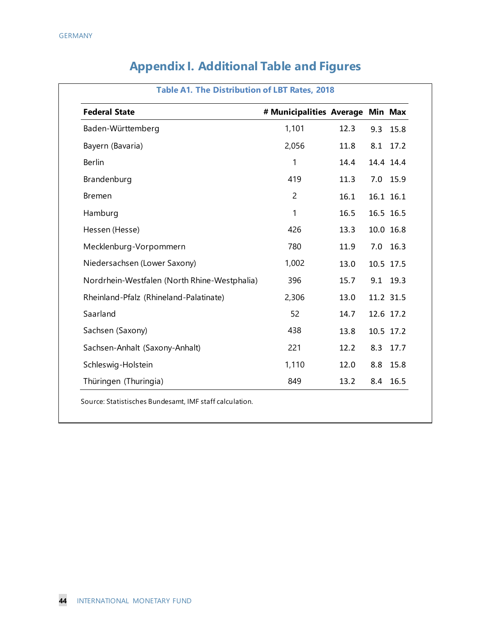| <b>Federal State</b>                         | # Municipalities Average Min Max |      |     |            |
|----------------------------------------------|----------------------------------|------|-----|------------|
| Baden-Württemberg                            | 1,101                            | 12.3 | 9.3 | 15.8       |
| Bayern (Bavaria)                             | 2,056                            | 11.8 |     | 8.1 17.2   |
| Berlin                                       | 1                                | 14.4 |     | 14.4 14.4  |
| Brandenburg                                  | 419                              | 11.3 |     | 7.0 15.9   |
| <b>Bremen</b>                                | $\overline{2}$                   | 16.1 |     | 16.1 16.1  |
| Hamburg                                      | 1                                | 16.5 |     | 16.5 16.5  |
| Hessen (Hesse)                               | 426                              | 13.3 |     | 10.0 16.8  |
| Mecklenburg-Vorpommern                       | 780                              | 11.9 |     | $7.0$ 16.3 |
| Niedersachsen (Lower Saxony)                 | 1,002                            | 13.0 |     | 10.5 17.5  |
| Nordrhein-Westfalen (North Rhine-Westphalia) | 396                              | 15.7 |     | 9.1 19.3   |
| Rheinland-Pfalz (Rhineland-Palatinate)       | 2,306                            | 13.0 |     | 11.2 31.5  |
| Saarland                                     | 52                               | 14.7 |     | 12.6 17.2  |
| Sachsen (Saxony)                             | 438                              | 13.8 |     | 10.5 17.2  |
| Sachsen-Anhalt (Saxony-Anhalt)               | 221                              | 12.2 | 8.3 | 17.7       |
| Schleswig-Holstein                           | 1,110                            | 12.0 | 8.8 | 15.8       |
| Thüringen (Thuringia)                        | 849                              | 13.2 | 8.4 | 16.5       |

# **Appendix I. Additional Table and Figures**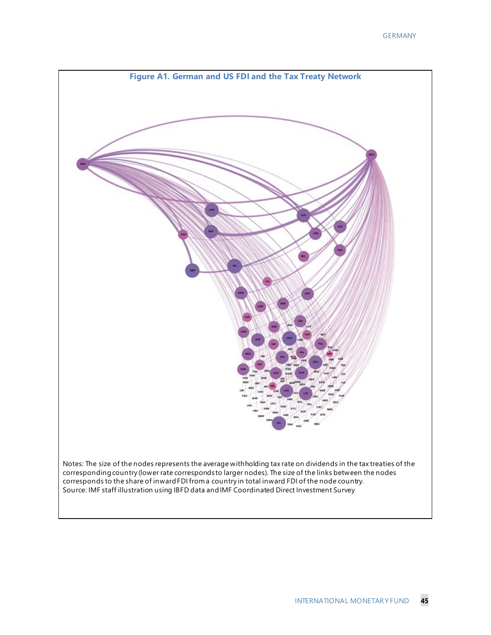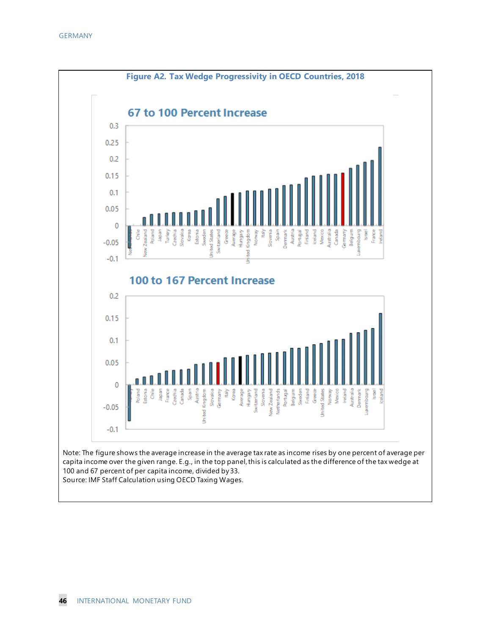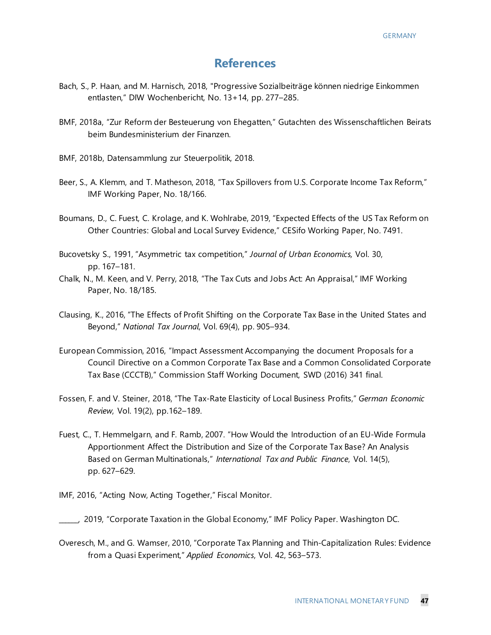# **References**

- Bach, S., P. Haan, and M. Harnisch, 2018, "Progressive Sozialbeiträge können niedrige Einkommen entlasten," DIW Wochenbericht, No. 13+14, pp. 277–285.
- BMF, 2018a, "Zur Reform der Besteuerung von Ehegatten," Gutachten des Wissenschaftlichen Beirats beim Bundesministerium der Finanzen.
- BMF, 2018b, Datensammlung zur Steuerpolitik, 2018.
- Beer, S., A. Klemm, and T. Matheson, 2018, "Tax Spillovers from U.S. Corporate Income Tax Reform," IMF Working Paper, No. 18/166.
- Boumans, D., C. Fuest, C. Krolage, and K. Wohlrabe, 2019, "Expected Effects of the US Tax Reform on Other Countries: Global and Local Survey Evidence," CESifo Working Paper, No. 7491.
- Bucovetsky S., 1991, "Asymmetric tax competition," *Journal of Urban Economics,* Vol. 30, pp. 167–181.
- Chalk, N., M. Keen, and V. Perry, 2018, "The Tax Cuts and Jobs Act: An Appraisal," IMF Working Paper, No. 18/185.
- Clausing, K., 2016, "The Effects of Profit Shifting on the Corporate Tax Base in the United States and Beyond," *National Tax Journal*, Vol. 69(4), pp. 905–934.
- European Commission, 2016, "Impact Assessment Accompanying the document Proposals for a Council Directive on a Common Corporate Tax Base and a Common Consolidated Corporate Tax Base (CCCTB)," Commission Staff Working Document, SWD (2016) 341 final.
- Fossen, F. and V. Steiner, 2018, "The Tax-Rate Elasticity of Local Business Profits," *German Economic Review*, Vol. 19(2), pp.162–189.
- Fuest, C., T. Hemmelgarn, and F. Ramb, 2007. "How Would the Introduction of an EU-Wide Formula Apportionment Affect the Distribution and Size of the Corporate Tax Base? An Analysis Based on German Multinationals," *International Tax and Public Finance*, Vol. 14(5), pp. 627–629.
- IMF, 2016, "Acting Now, Acting Together," Fiscal Monitor.

Overesch, M., and G. Wamser, 2010, "Corporate Tax Planning and Thin-Capitalization Rules: Evidence from a Quasi Experiment," *Applied Economics*, Vol. 42, 563–573.

\_\_\_\_\_\_, 2019, "Corporate Taxation in the Global Economy," IMF Policy Paper. Washington DC.